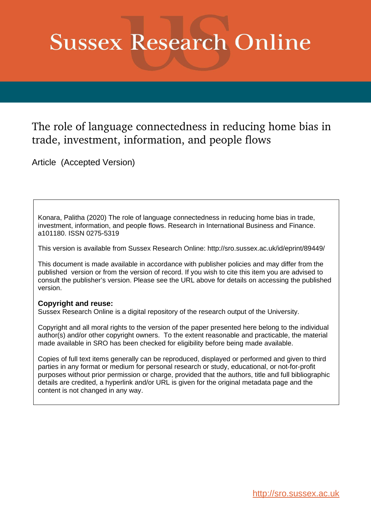# **Sussex Research Online**

# The role of language connectedness in reducing home bias in trade, investment, information, and people flows

Article (Accepted Version)

Konara, Palitha (2020) The role of language connectedness in reducing home bias in trade, investment, information, and people flows. Research in International Business and Finance. a101180. ISSN 0275-5319

This version is available from Sussex Research Online: http://sro.sussex.ac.uk/id/eprint/89449/

This document is made available in accordance with publisher policies and may differ from the published version or from the version of record. If you wish to cite this item you are advised to consult the publisher's version. Please see the URL above for details on accessing the published version.

## **Copyright and reuse:**

Sussex Research Online is a digital repository of the research output of the University.

Copyright and all moral rights to the version of the paper presented here belong to the individual author(s) and/or other copyright owners. To the extent reasonable and practicable, the material made available in SRO has been checked for eligibility before being made available.

Copies of full text items generally can be reproduced, displayed or performed and given to third parties in any format or medium for personal research or study, educational, or not-for-profit purposes without prior permission or charge, provided that the authors, title and full bibliographic details are credited, a hyperlink and/or URL is given for the original metadata page and the content is not changed in any way.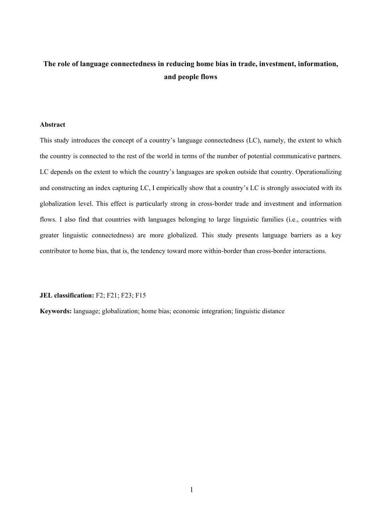# **The role of language connectedness in reducing home bias in trade, investment, information, and people flows**

#### **Abstract**

This study introduces the concept of a country's language connectedness (LC), namely, the extent to which the country is connected to the rest of the world in terms of the number of potential communicative partners. LC depends on the extent to which the country's languages are spoken outside that country. Operationalizing and constructing an index capturing LC, I empirically show that a country's LC is strongly associated with its globalization level. This effect is particularly strong in cross-border trade and investment and information flows. I also find that countries with languages belonging to large linguistic families (i.e., countries with greater linguistic connectedness) are more globalized. This study presents language barriers as a key contributor to home bias, that is, the tendency toward more within-border than cross-border interactions.

#### **JEL classification:** F2; F21; F23; F15

**Keywords:** language; globalization; home bias; economic integration; linguistic distance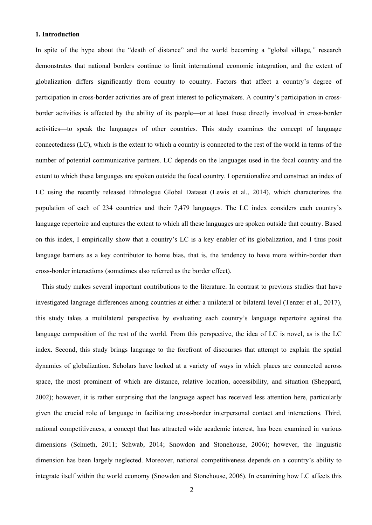#### **1. Introduction**

In spite of the hype about the "death of distance" and the world becoming a "global village*,"* research demonstrates that national borders continue to limit international economic integration, and the extent of globalization differs significantly from country to country. Factors that affect a country's degree of participation in cross-border activities are of great interest to policymakers. A country's participation in crossborder activities is affected by the ability of its people—or at least those directly involved in cross-border activities—to speak the languages of other countries. This study examines the concept of language connectedness (LC), which is the extent to which a country is connected to the rest of the world in terms of the number of potential communicative partners. LC depends on the languages used in the focal country and the extent to which these languages are spoken outside the focal country. I operationalize and construct an index of LC using the recently released Ethnologue Global Dataset (Lewis et al., 2014), which characterizes the population of each of 234 countries and their 7,479 languages. The LC index considers each country's language repertoire and captures the extent to which all these languages are spoken outside that country. Based on this index, I empirically show that a country's LC is a key enabler of its globalization, and I thus posit language barriers as a key contributor to home bias, that is, the tendency to have more within-border than cross-border interactions (sometimes also referred as the border effect).

This study makes several important contributions to the literature. In contrast to previous studies that have investigated language differences among countries at either a unilateral or bilateral level (Tenzer et al., 2017), this study takes a multilateral perspective by evaluating each country's language repertoire against the language composition of the rest of the world. From this perspective, the idea of LC is novel, as is the LC index. Second, this study brings language to the forefront of discourses that attempt to explain the spatial dynamics of globalization. Scholars have looked at a variety of ways in which places are connected across space, the most prominent of which are distance, relative location, accessibility, and situation (Sheppard, 2002); however, it is rather surprising that the language aspect has received less attention here, particularly given the crucial role of language in facilitating cross-border interpersonal contact and interactions. Third, national competitiveness, a concept that has attracted wide academic interest, has been examined in various dimensions (Schueth, 2011; Schwab, 2014; Snowdon and Stonehouse, 2006); however, the linguistic dimension has been largely neglected. Moreover, national competitiveness depends on a country's ability to integrate itself within the world economy (Snowdon and Stonehouse, 2006). In examining how LC affects this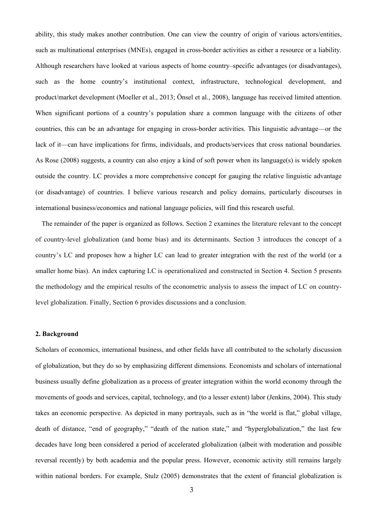ability, this study makes another contribution. One can view the country of origin of various actors/entities, such as multinational enterprises (MNEs), engaged in cross-border activities as either a resource or a liability. Although researchers have looked at various aspects of home country–specific advantages (or disadvantages), such as the home country's institutional context, infrastructure, technological development, and product/market development (Moeller et al., 2013; Önsel et al., 2008), language has received limited attention. When significant portions of a country's population share a common language with the citizens of other countries, this can be an advantage for engaging in cross-border activities. This linguistic advantage—or the lack of it—can have implications for firms, individuals, and products/services that cross national boundaries. As Rose (2008) suggests, a country can also enjoy a kind of soft power when its language(s) is widely spoken outside the country. LC provides a more comprehensive concept for gauging the relative linguistic advantage (or disadvantage) of countries. I believe various research and policy domains, particularly discourses in international business/economics and national language policies, will find this research useful.

The remainder of the paper is organized as follows. Section 2 examines the literature relevant to the concept of country-level globalization (and home bias) and its determinants. Section 3 introduces the concept of a country's LC and proposes how a higher LC can lead to greater integration with the rest of the world (or a smaller home bias). An index capturing LC is operationalized and constructed in Section 4. Section 5 presents the methodology and the empirical results of the econometric analysis to assess the impact of LC on countrylevel globalization. Finally, Section 6 provides discussions and a conclusion.

#### **2. Background**

Scholars of economics, international business, and other fields have all contributed to the scholarly discussion of globalization, but they do so by emphasizing different dimensions. Economists and scholars of international business usually define globalization as a process of greater integration within the world economy through the movements of goods and services, capital, technology, and (to a lesser extent) labor (Jenkins, 2004). This study takes an economic perspective. As depicted in many portrayals, such as in "the world is flat," global village, death of distance, "end of geography," "death of the nation state," and "hyperglobalization," the last few decades have long been considered a period of accelerated globalization (albeit with moderation and possible reversal recently) by both academia and the popular press. However, economic activity still remains largely within national borders. For example, Stulz (2005) demonstrates that the extent of financial globalization is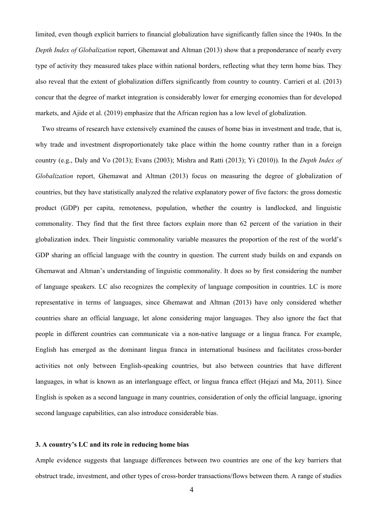limited, even though explicit barriers to financial globalization have significantly fallen since the 1940s. In the *Depth Index of Globalization* report, Ghemawat and Altman (2013) show that a preponderance of nearly every type of activity they measured takes place within national borders, reflecting what they term home bias. They also reveal that the extent of globalization differs significantly from country to country. Carrieri et al. (2013) concur that the degree of market integration is considerably lower for emerging economies than for developed markets, and Ajide et al. (2019) emphasize that the African region has a low level of globalization.

Two streams of research have extensively examined the causes of home bias in investment and trade, that is, why trade and investment disproportionately take place within the home country rather than in a foreign country (e.g., Daly and Vo (2013); Evans (2003); Mishra and Ratti (2013); Yi (2010)). In the *Depth Index of Globalization* report, Ghemawat and Altman (2013) focus on measuring the degree of globalization of countries, but they have statistically analyzed the relative explanatory power of five factors: the gross domestic product (GDP) per capita, remoteness, population, whether the country is landlocked, and linguistic commonality. They find that the first three factors explain more than 62 percent of the variation in their globalization index. Their linguistic commonality variable measures the proportion of the rest of the world's GDP sharing an official language with the country in question. The current study builds on and expands on Ghemawat and Altman's understanding of linguistic commonality. It does so by first considering the number of language speakers. LC also recognizes the complexity of language composition in countries. LC is more representative in terms of languages, since Ghemawat and Altman (2013) have only considered whether countries share an official language, let alone considering major languages. They also ignore the fact that people in different countries can communicate via a non-native language or a lingua franca. For example, English has emerged as the dominant lingua franca in international business and facilitates cross-border activities not only between English-speaking countries, but also between countries that have different languages, in what is known as an interlanguage effect, or lingua franca effect (Hejazi and Ma, 2011). Since English is spoken as a second language in many countries, consideration of only the official language, ignoring second language capabilities, can also introduce considerable bias.

#### **3. A country's LC and its role in reducing home bias**

Ample evidence suggests that language differences between two countries are one of the key barriers that obstruct trade, investment, and other types of cross-border transactions/flows between them. A range of studies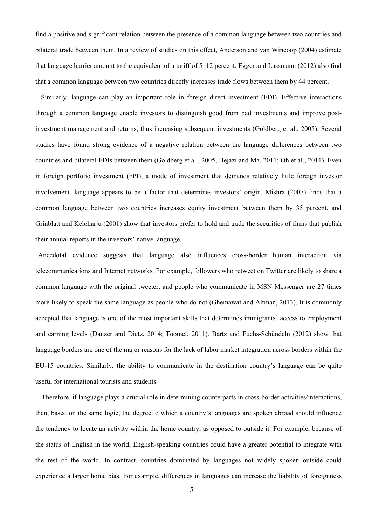find a positive and significant relation between the presence of a common language between two countries and bilateral trade between them. In a review of studies on this effect, Anderson and van Wincoop (2004) estimate that language barrier amount to the equivalent of a tariff of 5–12 percent. Egger and Lassmann (2012) also find that a common language between two countries directly increases trade flows between them by 44 percent.

Similarly, language can play an important role in foreign direct investment (FDI). Effective interactions through a common language enable investors to distinguish good from bad investments and improve postinvestment management and returns, thus increasing subsequent investments (Goldberg et al., 2005). Several studies have found strong evidence of a negative relation between the language differences between two countries and bilateral FDIs between them (Goldberg et al., 2005; Hejazi and Ma, 2011; Oh et al., 2011). Even in foreign portfolio investment (FPI), a mode of investment that demands relatively little foreign investor involvement, language appears to be a factor that determines investors' origin. Mishra (2007) finds that a common language between two countries increases equity investment between them by 35 percent, and Grinblatt and Keloharju (2001) show that investors prefer to hold and trade the securities of firms that publish their annual reports in the investors' native language.

Anecdotal evidence suggests that language also influences cross-border human interaction via telecommunications and Internet networks. For example, followers who retweet on Twitter are likely to share a common language with the original tweeter, and people who communicate in MSN Messenger are 27 times more likely to speak the same language as people who do not (Ghemawat and Altman, 2013). It is commonly accepted that language is one of the most important skills that determines immigrants' access to employment and earning levels (Danzer and Dietz, 2014; Toomet, 2011). Bartz and Fuchs-Schündeln (2012) show that language borders are one of the major reasons for the lack of labor market integration across borders within the EU-15 countries. Similarly, the ability to communicate in the destination country's language can be quite useful for international tourists and students.

Therefore, if language plays a crucial role in determining counterparts in cross-border activities/interactions, then, based on the same logic, the degree to which a country's languages are spoken abroad should influence the tendency to locate an activity within the home country, as opposed to outside it. For example, because of the status of English in the world, English-speaking countries could have a greater potential to integrate with the rest of the world. In contrast, countries dominated by languages not widely spoken outside could experience a larger home bias. For example, differences in languages can increase the liability of foreignness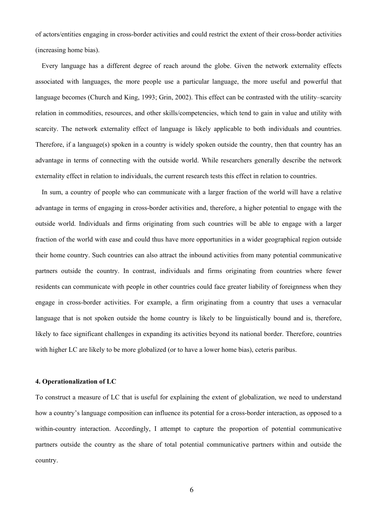of actors/entities engaging in cross-border activities and could restrict the extent of their cross-border activities (increasing home bias).

Every language has a different degree of reach around the globe. Given the network externality effects associated with languages, the more people use a particular language, the more useful and powerful that language becomes (Church and King, 1993; Grin, 2002). This effect can be contrasted with the utility–scarcity relation in commodities, resources, and other skills/competencies, which tend to gain in value and utility with scarcity. The network externality effect of language is likely applicable to both individuals and countries. Therefore, if a language(s) spoken in a country is widely spoken outside the country, then that country has an advantage in terms of connecting with the outside world. While researchers generally describe the network externality effect in relation to individuals, the current research tests this effect in relation to countries.

In sum, a country of people who can communicate with a larger fraction of the world will have a relative advantage in terms of engaging in cross-border activities and, therefore, a higher potential to engage with the outside world. Individuals and firms originating from such countries will be able to engage with a larger fraction of the world with ease and could thus have more opportunities in a wider geographical region outside their home country. Such countries can also attract the inbound activities from many potential communicative partners outside the country. In contrast, individuals and firms originating from countries where fewer residents can communicate with people in other countries could face greater liability of foreignness when they engage in cross-border activities. For example, a firm originating from a country that uses a vernacular language that is not spoken outside the home country is likely to be linguistically bound and is, therefore, likely to face significant challenges in expanding its activities beyond its national border. Therefore, countries with higher LC are likely to be more globalized (or to have a lower home bias), ceteris paribus.

#### **4. Operationalization of LC**

To construct a measure of LC that is useful for explaining the extent of globalization, we need to understand how a country's language composition can influence its potential for a cross-border interaction, as opposed to a within-country interaction. Accordingly, I attempt to capture the proportion of potential communicative partners outside the country as the share of total potential communicative partners within and outside the country.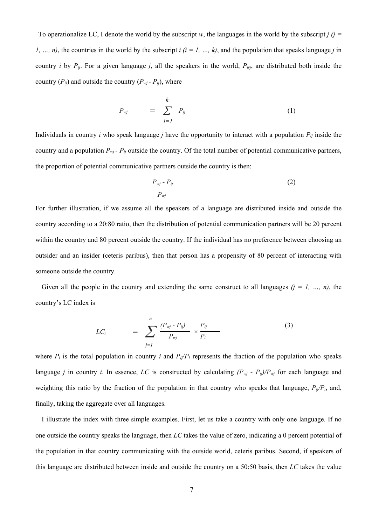To operationalize LC, I denote the world by the subscript *w*, the languages in the world by the subscript *j (j = 1*, ..., *n*), the countries in the world by the subscript  $i$  ( $i = 1, ..., k$ ), and the population that speaks language *j* in country *i* by  $P_{ij}$ . For a given language *j*, all the speakers in the world,  $P_{wj}$ , are distributed both inside the country  $(P_{ij})$  and outside the country  $(P_{wi} - P_{ij})$ , where

$$
P_{wj} = \sum_{i=1}^{k} P_{ij} \tag{1}
$$

Individuals in country *i* who speak language *j* have the opportunity to interact with a population *Pij* inside the country and a population *Pwj - Pij* outside the country. Of the total number of potential communicative partners, the proportion of potential communicative partners outside the country is then:

$$
\frac{P_{wj} - P_{ij}}{P_{wj}}
$$
 (2)

For further illustration, if we assume all the speakers of a language are distributed inside and outside the country according to a 20:80 ratio, then the distribution of potential communication partners will be 20 percent within the country and 80 percent outside the country. If the individual has no preference between choosing an outsider and an insider (ceteris paribus), then that person has a propensity of 80 percent of interacting with someone outside the country.

Given all the people in the country and extending the same construct to all languages  $(j = 1, ..., n)$ , the country's LC index is

$$
LC_i = \sum_{j=1}^{n} \frac{(P_{vj} - P_{ij})}{P_{vj}} \times \frac{P_{ij}}{P_i}
$$
 (3)

where  $P_i$  is the total population in country *i* and  $P_{ij}/P_i$  represents the fraction of the population who speaks language *j* in country *i*. In essence, *LC* is constructed by calculating  $(P_{wj} - P_{ij})/P_{wj}$  for each language and weighting this ratio by the fraction of the population in that country who speaks that language, *Pij/Pi*, and, finally, taking the aggregate over all languages.

I illustrate the index with three simple examples. First, let us take a country with only one language. If no one outside the country speaks the language, then *LC* takes the value of zero, indicating a 0 percent potential of the population in that country communicating with the outside world, ceteris paribus. Second, if speakers of this language are distributed between inside and outside the country on a 50:50 basis, then *LC* takes the value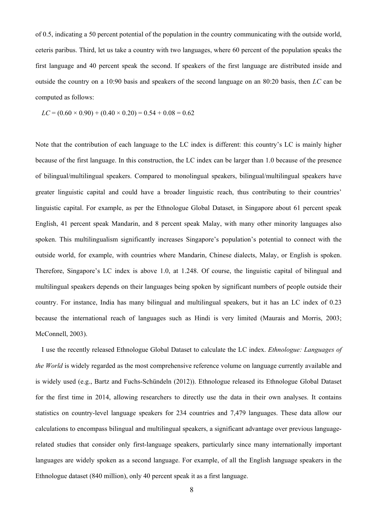of 0.5, indicating a 50 percent potential of the population in the country communicating with the outside world, ceteris paribus. Third, let us take a country with two languages, where 60 percent of the population speaks the first language and 40 percent speak the second. If speakers of the first language are distributed inside and outside the country on a 10:90 basis and speakers of the second language on an 80:20 basis, then *LC* can be computed as follows:

$$
LC = (0.60 \times 0.90) + (0.40 \times 0.20) = 0.54 + 0.08 = 0.62
$$

Note that the contribution of each language to the LC index is different: this country's LC is mainly higher because of the first language. In this construction, the LC index can be larger than 1.0 because of the presence of bilingual/multilingual speakers. Compared to monolingual speakers, bilingual/multilingual speakers have greater linguistic capital and could have a broader linguistic reach, thus contributing to their countries' linguistic capital. For example, as per the Ethnologue Global Dataset, in Singapore about 61 percent speak English, 41 percent speak Mandarin, and 8 percent speak Malay, with many other minority languages also spoken. This multilingualism significantly increases Singapore's population's potential to connect with the outside world, for example, with countries where Mandarin, Chinese dialects, Malay, or English is spoken. Therefore, Singapore's LC index is above 1.0, at 1.248. Of course, the linguistic capital of bilingual and multilingual speakers depends on their languages being spoken by significant numbers of people outside their country. For instance, India has many bilingual and multilingual speakers, but it has an LC index of 0.23 because the international reach of languages such as Hindi is very limited (Maurais and Morris, 2003; McConnell, 2003).

I use the recently released Ethnologue Global Dataset to calculate the LC index. *Ethnologue: Languages of the World* is widely regarded as the most comprehensive reference volume on language currently available and is widely used (e.g., Bartz and Fuchs-Schündeln (2012)). Ethnologue released its Ethnologue Global Dataset for the first time in 2014, allowing researchers to directly use the data in their own analyses. It contains statistics on country-level language speakers for 234 countries and 7,479 languages. These data allow our calculations to encompass bilingual and multilingual speakers, a significant advantage over previous languagerelated studies that consider only first-language speakers, particularly since many internationally important languages are widely spoken as a second language. For example, of all the English language speakers in the Ethnologue dataset (840 million), only 40 percent speak it as a first language.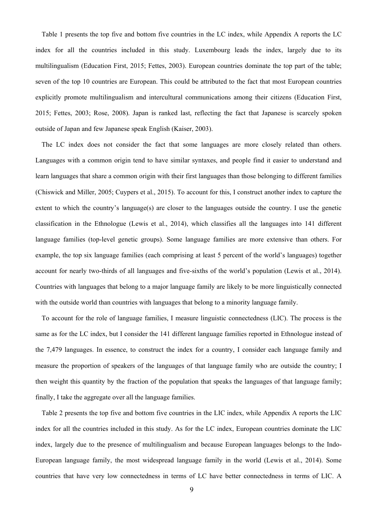Table 1 presents the top five and bottom five countries in the LC index, while Appendix A reports the LC index for all the countries included in this study. Luxembourg leads the index, largely due to its multilingualism (Education First, 2015; Fettes, 2003). European countries dominate the top part of the table; seven of the top 10 countries are European. This could be attributed to the fact that most European countries explicitly promote multilingualism and intercultural communications among their citizens (Education First, 2015; Fettes, 2003; Rose, 2008). Japan is ranked last, reflecting the fact that Japanese is scarcely spoken outside of Japan and few Japanese speak English (Kaiser, 2003).

The LC index does not consider the fact that some languages are more closely related than others. Languages with a common origin tend to have similar syntaxes, and people find it easier to understand and learn languages that share a common origin with their first languages than those belonging to different families (Chiswick and Miller, 2005; Cuypers et al., 2015). To account for this, I construct another index to capture the extent to which the country's language(s) are closer to the languages outside the country. I use the genetic classification in the Ethnologue (Lewis et al., 2014), which classifies all the languages into 141 different language families (top-level genetic groups). Some language families are more extensive than others. For example, the top six language families (each comprising at least 5 percent of the world's languages) together account for nearly two-thirds of all languages and five-sixths of the world's population (Lewis et al., 2014). Countries with languages that belong to a major language family are likely to be more linguistically connected with the outside world than countries with languages that belong to a minority language family.

To account for the role of language families, I measure linguistic connectedness (LIC). The process is the same as for the LC index, but I consider the 141 different language families reported in Ethnologue instead of the 7,479 languages. In essence, to construct the index for a country, I consider each language family and measure the proportion of speakers of the languages of that language family who are outside the country; I then weight this quantity by the fraction of the population that speaks the languages of that language family; finally, I take the aggregate over all the language families.

Table 2 presents the top five and bottom five countries in the LIC index, while Appendix A reports the LIC index for all the countries included in this study. As for the LC index, European countries dominate the LIC index, largely due to the presence of multilingualism and because European languages belongs to the Indo-European language family, the most widespread language family in the world (Lewis et al., 2014). Some countries that have very low connectedness in terms of LC have better connectedness in terms of LIC. A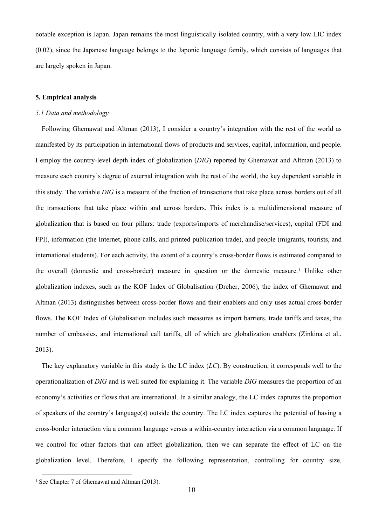notable exception is Japan. Japan remains the most linguistically isolated country, with a very low LIC index (0.02), since the Japanese language belongs to the Japonic language family, which consists of languages that are largely spoken in Japan.

#### **5. Empirical analysis**

#### *5.1 Data and methodology*

Following Ghemawat and Altman (2013), I consider a country's integration with the rest of the world as manifested by its participation in international flows of products and services, capital, information, and people. I employ the country-level depth index of globalization (*DIG*) reported by Ghemawat and Altman (2013) to measure each country's degree of external integration with the rest of the world, the key dependent variable in this study. The variable *DIG* is a measure of the fraction of transactions that take place across borders out of all the transactions that take place within and across borders. This index is a multidimensional measure of globalization that is based on four pillars: trade (exports/imports of merchandise/services), capital (FDI and FPI), information (the Internet, phone calls, and printed publication trade), and people (migrants, tourists, and international students). For each activity, the extent of a country's cross-border flows is estimated compared to the overall (domestic and cross-border) measure in question or the domestic measure.<sup>[1](#page-10-0)</sup> Unlike other globalization indexes, such as the KOF Index of Globalisation (Dreher, 2006), the index of Ghemawat and Altman (2013) distinguishes between cross-border flows and their enablers and only uses actual cross-border flows. The KOF Index of Globalisation includes such measures as import barriers, trade tariffs and taxes, the number of embassies, and international call tariffs, all of which are globalization enablers (Zinkina et al., 2013).

The key explanatory variable in this study is the LC index (*LC*). By construction, it corresponds well to the operationalization of *DIG* and is well suited for explaining it. The variable *DIG* measures the proportion of an economy's activities or flows that are international. In a similar analogy, the LC index captures the proportion of speakers of the country's language(s) outside the country. The LC index captures the potential of having a cross-border interaction via a common language versus a within-country interaction via a common language. If we control for other factors that can affect globalization, then we can separate the effect of LC on the globalization level. Therefore, I specify the following representation, controlling for country size,

<span id="page-10-0"></span><sup>&</sup>lt;sup>1</sup> See Chapter 7 of Ghemawat and Altman (2013).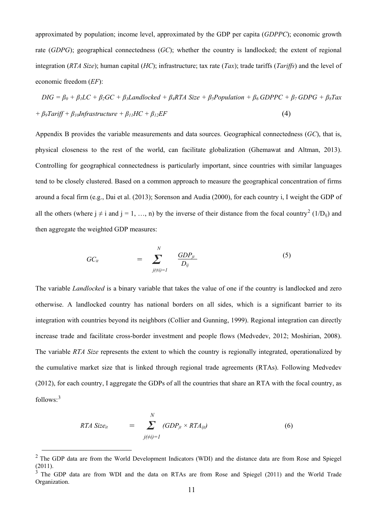approximated by population; income level, approximated by the GDP per capita (*GDPPC*); economic growth rate (*GDPG*); geographical connectedness (*GC*); whether the country is landlocked; the extent of regional integration (*RTA Size*); human capital (*HC*); infrastructure; tax rate (*Tax*); trade tariffs (*Tariffs*) and the level of economic freedom (*EF*):

$$
DIG = \beta_0 + \beta_1 LC + \beta_2 GC + \beta_3 Landlocked + \beta_4 RTA Size + \beta_5 Population + \beta_6 GDPPC + \beta_7 GDPG + \beta_8 Tax
$$
  
+  $\beta_9 Tariff + \beta_{10}Infrastructure + \beta_{11} HC + \beta_{12} EF$  (4)

Appendix B provides the variable measurements and data sources. Geographical connectedness (*GC*), that is, physical closeness to the rest of the world, can facilitate globalization (Ghemawat and Altman, 2013). Controlling for geographical connectedness is particularly important, since countries with similar languages tend to be closely clustered. Based on a common approach to measure the geographical concentration of firms around a focal firm (e.g., Dai et al. (2013); Sorenson and Audia (2000), for each country i, I weight the GDP of all the others (where  $j \neq i$  and  $j = 1, ..., n$ ) by the inverse of their distance from the focal country<sup>[2](#page-11-0)</sup> (1/D<sub>ii</sub>) and then aggregate the weighted GDP measures:

$$
GC_{it} = \sum_{\substack{j(\neq i)=1}}^{N} \frac{GDP_{jt}}{D_{ij}} \tag{5}
$$

The variable *Landlocked* is a binary variable that takes the value of one if the country is landlocked and zero otherwise. A landlocked country has national borders on all sides, which is a significant barrier to its integration with countries beyond its neighbors (Collier and Gunning, 1999). Regional integration can directly increase trade and facilitate cross-border investment and people flows (Medvedev, 2012; Moshirian, 2008). The variable *RTA Size* represents the extent to which the country is regionally integrated, operationalized by the cumulative market size that is linked through regional trade agreements (RTAs). Following Medvedev (2012), for each country, I aggregate the GDPs of all the countries that share an RTA with the focal country, as follows:[3](#page-11-1)

RTA Size<sub>it</sub> = 
$$
\sum_{j(\neq i)=1}^{N} (GDP_{jt} \times RTA_{ijt})
$$
(6)

<span id="page-11-0"></span><sup>&</sup>lt;sup>2</sup> The GDP data are from the World Development Indicators (WDI) and the distance data are from Rose and Spiegel  $(2011).$ <sup>2</sup>

<span id="page-11-1"></span><sup>3</sup> The GDP data are from WDI and the data on RTAs are from Rose and Spiegel (2011) and the World Trade Organization.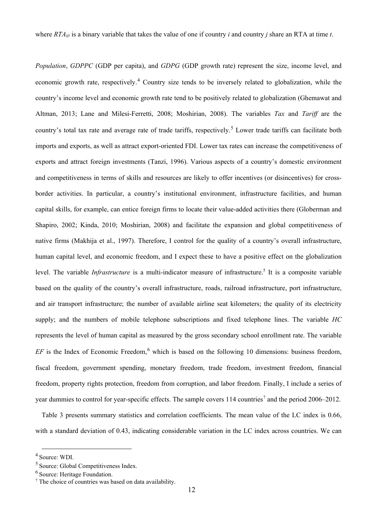*Population*, *GDPPC* (GDP per capita), and *GDPG* (GDP growth rate) represent the size, income level, and economic growth rate, respectively.<sup>[4](#page-12-0)</sup> Country size tends to be inversely related to globalization, while the country's income level and economic growth rate tend to be positively related to globalization (Ghemawat and Altman, 2013; Lane and Milesi-Ferretti, 2008; Moshirian, 2008). The variables *Tax* and *Tariff* are the country's total tax rate and average rate of trade tariffs, respectively.<sup>[5](#page-12-1)</sup> Lower trade tariffs can facilitate both imports and exports, as well as attract export-oriented FDI. Lower tax rates can increase the competitiveness of exports and attract foreign investments (Tanzi, 1996). Various aspects of a country's domestic environment and competitiveness in terms of skills and resources are likely to offer incentives (or disincentives) for crossborder activities. In particular, a country's institutional environment, infrastructure facilities, and human capital skills, for example, can entice foreign firms to locate their value-added activities there (Globerman and Shapiro, 2002; Kinda, 2010; Moshirian, 2008) and facilitate the expansion and global competitiveness of native firms (Makhija et al., 1997). Therefore, I control for the quality of a country's overall infrastructure, human capital level, and economic freedom, and I expect these to have a positive effect on the globalization level. The variable *Infrastructure* is a multi-indicator measure of infrastructure.<sup>5</sup> It is a composite variable based on the quality of the country's overall infrastructure, roads, railroad infrastructure, port infrastructure, and air transport infrastructure; the number of available airline seat kilometers; the quality of its electricity supply; and the numbers of mobile telephone subscriptions and fixed telephone lines. The variable *HC* represents the level of human capital as measured by the gross secondary school enrollment rate. The variable  $EF$  is the Index of Economic Freedom,<sup>[6](#page-12-2)</sup> which is based on the following 10 dimensions: business freedom, fiscal freedom, government spending, monetary freedom, trade freedom, investment freedom, financial freedom, property rights protection, freedom from corruption, and labor freedom. Finally, I include a series of year dummies to control for year-specific effects. The sample covers 114 countries<sup>[7](#page-12-3)</sup> and the period 2006–2012.

Table 3 presents summary statistics and correlation coefficients. The mean value of the LC index is 0.66, with a standard deviation of 0.43, indicating considerable variation in the LC index across countries. We can

<span id="page-12-0"></span> <sup>4</sup> Source: WDI.

<span id="page-12-1"></span><sup>5</sup> Source: Global Competitiveness Index.

<span id="page-12-2"></span><sup>6</sup> Source: Heritage Foundation.

<span id="page-12-3"></span> $\frac{7}{7}$  The choice of countries was based on data availability.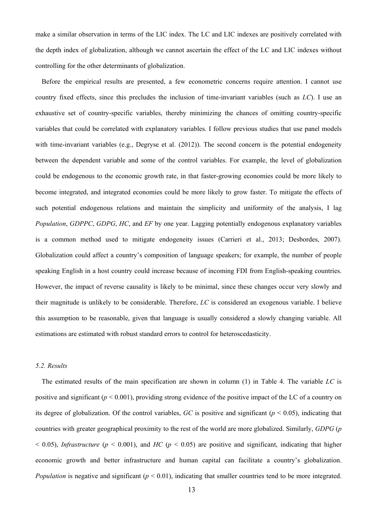make a similar observation in terms of the LIC index. The LC and LIC indexes are positively correlated with the depth index of globalization, although we cannot ascertain the effect of the LC and LIC indexes without controlling for the other determinants of globalization.

Before the empirical results are presented, a few econometric concerns require attention. I cannot use country fixed effects, since this precludes the inclusion of time-invariant variables (such as *LC*). I use an exhaustive set of country-specific variables, thereby minimizing the chances of omitting country-specific variables that could be correlated with explanatory variables. I follow previous studies that use panel models with time-invariant variables (e.g., Degryse et al. (2012)). The second concern is the potential endogeneity between the dependent variable and some of the control variables. For example, the level of globalization could be endogenous to the economic growth rate, in that faster-growing economies could be more likely to become integrated, and integrated economies could be more likely to grow faster. To mitigate the effects of such potential endogenous relations and maintain the simplicity and uniformity of the analysis, I lag *Population*, *GDPPC*, *GDPG*, *HC*, and *EF* by one year. Lagging potentially endogenous explanatory variables is a common method used to mitigate endogeneity issues (Carrieri et al., 2013; Desbordes, 2007). Globalization could affect a country's composition of language speakers; for example, the number of people speaking English in a host country could increase because of incoming FDI from English-speaking countries. However, the impact of reverse causality is likely to be minimal, since these changes occur very slowly and their magnitude is unlikely to be considerable. Therefore, *LC* is considered an exogenous variable. I believe this assumption to be reasonable, given that language is usually considered a slowly changing variable. All estimations are estimated with robust standard errors to control for heteroscedasticity.

#### *5.2. Results*

The estimated results of the main specification are shown in column (1) in Table 4. The variable *LC* is positive and significant (*p* < 0.001), providing strong evidence of the positive impact of the LC of a country on its degree of globalization. Of the control variables,  $GC$  is positive and significant ( $p \le 0.05$ ), indicating that countries with greater geographical proximity to the rest of the world are more globalized. Similarly, *GDPG* (*p*  $<$  0.05), *Infrastructure* ( $p$  < 0.001), and *HC* ( $p$  < 0.05) are positive and significant, indicating that higher economic growth and better infrastructure and human capital can facilitate a country's globalization. *Population* is negative and significant  $(p < 0.01)$ , indicating that smaller countries tend to be more integrated.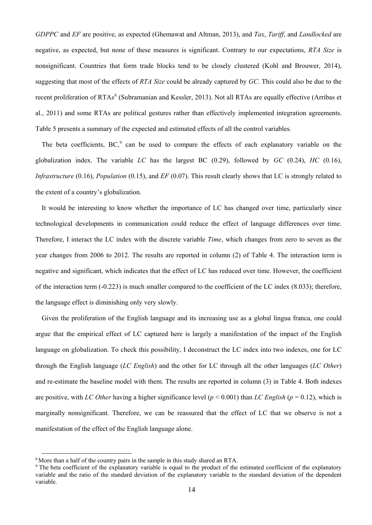*GDPPC* and *EF* are positive, as expected (Ghemawat and Altman, 2013), and *Tax*, *Tariff*, and *Landlocked* are negative, as expected, but none of these measures is significant. Contrary to our expectations, *RTA Size* is nonsignificant. Countries that form trade blocks tend to be closely clustered (Kohl and Brouwer, 2014), suggesting that most of the effects of *RTA Size* could be already captured by *GC*. This could also be due to the recent proliferation of RTAs<sup>[8](#page-14-0)</sup> (Subramanian and Kessler, 2013). Not all RTAs are equally effective (Arribas et al., 2011) and some RTAs are political gestures rather than effectively implemented integration agreements. Table 5 presents a summary of the expected and estimated effects of all the control variables.

The beta coefficients,  $BC<sub>2</sub><sup>9</sup>$  $BC<sub>2</sub><sup>9</sup>$  $BC<sub>2</sub><sup>9</sup>$  can be used to compare the effects of each explanatory variable on the globalization index. The variable *LC* has the largest BC (0.29), followed by *GC* (0.24), *HC* (0.16), *Infrastructure* (0.16), *Population* (0.15), and *EF* (0.07). This result clearly shows that LC is strongly related to the extent of a country's globalization.

It would be interesting to know whether the importance of LC has changed over time, particularly since technological developments in communication could reduce the effect of language differences over time. Therefore, I interact the LC index with the discrete variable *Time*, which changes from zero to seven as the year changes from 2006 to 2012. The results are reported in column (2) of Table 4. The interaction term is negative and significant, which indicates that the effect of LC has reduced over time. However, the coefficient of the interaction term (-0.223) is much smaller compared to the coefficient of the LC index (8.033); therefore, the language effect is diminishing only very slowly.

Given the proliferation of the English language and its increasing use as a global lingua franca, one could argue that the empirical effect of LC captured here is largely a manifestation of the impact of the English language on globalization. To check this possibility, I deconstruct the LC index into two indexes, one for LC through the English language (*LC English*) and the other for LC through all the other languages (*LC Other*) and re-estimate the baseline model with them. The results are reported in column (3) in Table 4. Both indexes are positive, with *LC Other* having a higher significance level  $(p < 0.001)$  than *LC English* ( $p = 0.12$ ), which is marginally nonsignificant. Therefore, we can be reassured that the effect of LC that we observe is not a manifestation of the effect of the English language alone.

<span id="page-14-0"></span><sup>&</sup>lt;sup>8</sup> More than a half of the country pairs in the sample in this study shared an RTA.

<span id="page-14-1"></span><sup>&</sup>lt;sup>9</sup> The beta coefficient of the explanatory variable is equal to the product of the estimated coefficient of the explanatory variable and the ratio of the standard deviation of the explanatory variable to the standard deviation of the dependent variable.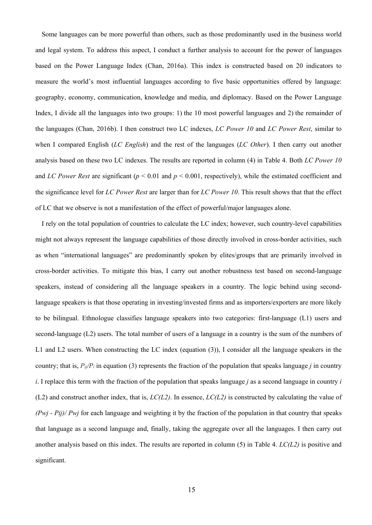Some languages can be more powerful than others, such as those predominantly used in the business world and legal system. To address this aspect, I conduct a further analysis to account for the power of languages based on the Power Language Index (Chan, 2016a). This index is constructed based on 20 indicators to measure the world's most influential languages according to five basic opportunities offered by language: geography, economy, communication, knowledge and media, and diplomacy. Based on the Power Language Index, I divide all the languages into two groups: 1) the 10 most powerful languages and 2) the remainder of the languages (Chan, 2016b). I then construct two LC indexes, *LC Power 10* and *LC Power Rest*, similar to when I compared English (*LC English*) and the rest of the languages (*LC Other*). I then carry out another analysis based on these two LC indexes. The results are reported in column (4) in Table 4. Both *LC Power 10* and *LC Power* Rest are significant ( $p < 0.01$  and  $p < 0.001$ , respectively), while the estimated coefficient and the significance level for *LC Power Rest* are larger than for *LC Power 10*. This result shows that that the effect of LC that we observe is not a manifestation of the effect of powerful/major languages alone.

I rely on the total population of countries to calculate the LC index; however, such country-level capabilities might not always represent the language capabilities of those directly involved in cross-border activities, such as when "international languages" are predominantly spoken by elites/groups that are primarily involved in cross-border activities. To mitigate this bias, I carry out another robustness test based on second-language speakers, instead of considering all the language speakers in a country. The logic behind using secondlanguage speakers is that those operating in investing/invested firms and as importers/exporters are more likely to be bilingual. Ethnologue classifies language speakers into two categories: first-language (L1) users and second-language (L2) users. The total number of users of a language in a country is the sum of the numbers of L1 and L2 users. When constructing the LC index (equation (3)), I consider all the language speakers in the country; that is,  $P_{ii}/P_i$  in equation (3) represents the fraction of the population that speaks language *j* in country *i*. I replace this term with the fraction of the population that speaks language *j* as a second language in country *i* (L2) and construct another index, that is, *LC(L2)*. In essence, *LC(L2)* is constructed by calculating the value of *(Pwj - Pij)/ Pwj* for each language and weighting it by the fraction of the population in that country that speaks that language as a second language and, finally, taking the aggregate over all the languages. I then carry out another analysis based on this index. The results are reported in column (5) in Table 4. *LC(L2)* is positive and significant.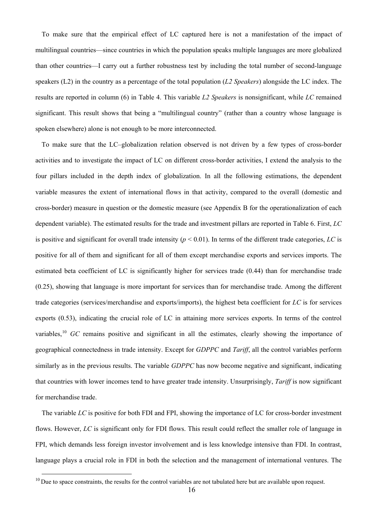To make sure that the empirical effect of LC captured here is not a manifestation of the impact of multilingual countries—since countries in which the population speaks multiple languages are more globalized than other countries—I carry out a further robustness test by including the total number of second-language speakers (L2) in the country as a percentage of the total population (*L2 Speakers*) alongside the LC index. The results are reported in column (6) in Table 4. This variable *L2 Speakers* is nonsignificant, while *LC* remained significant. This result shows that being a "multilingual country" (rather than a country whose language is spoken elsewhere) alone is not enough to be more interconnected.

To make sure that the LC–globalization relation observed is not driven by a few types of cross-border activities and to investigate the impact of LC on different cross-border activities, I extend the analysis to the four pillars included in the depth index of globalization. In all the following estimations, the dependent variable measures the extent of international flows in that activity, compared to the overall (domestic and cross-border) measure in question or the domestic measure (see Appendix B for the operationalization of each dependent variable). The estimated results for the trade and investment pillars are reported in Table 6. First, *LC* is positive and significant for overall trade intensity  $(p < 0.01)$ . In terms of the different trade categories, LC is positive for all of them and significant for all of them except merchandise exports and services imports. The estimated beta coefficient of LC is significantly higher for services trade (0.44) than for merchandise trade (0.25), showing that language is more important for services than for merchandise trade. Among the different trade categories (services/merchandise and exports/imports), the highest beta coefficient for *LC* is for services exports (0.53), indicating the crucial role of LC in attaining more services exports. In terms of the control variables,<sup>[10](#page-16-0)</sup> *GC* remains positive and significant in all the estimates, clearly showing the importance of geographical connectedness in trade intensity. Except for *GDPPC* and *Tariff*, all the control variables perform similarly as in the previous results. The variable *GDPPC* has now become negative and significant, indicating that countries with lower incomes tend to have greater trade intensity. Unsurprisingly, *Tariff* is now significant for merchandise trade.

The variable *LC* is positive for both FDI and FPI, showing the importance of LC for cross-border investment flows. However, *LC* is significant only for FDI flows. This result could reflect the smaller role of language in FPI, which demands less foreign investor involvement and is less knowledge intensive than FDI. In contrast, language plays a crucial role in FDI in both the selection and the management of international ventures. The

<span id="page-16-0"></span> $10$  Due to space constraints, the results for the control variables are not tabulated here but are available upon request.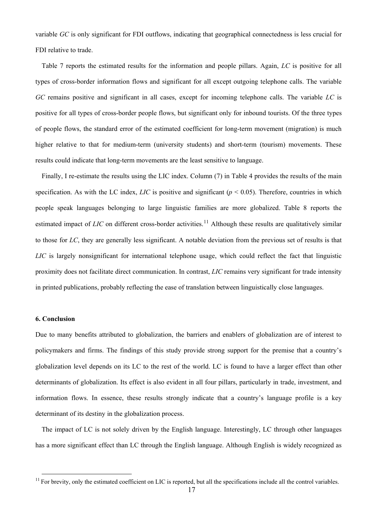variable *GC* is only significant for FDI outflows, indicating that geographical connectedness is less crucial for FDI relative to trade.

Table 7 reports the estimated results for the information and people pillars. Again, *LC* is positive for all types of cross-border information flows and significant for all except outgoing telephone calls. The variable *GC* remains positive and significant in all cases, except for incoming telephone calls. The variable *LC* is positive for all types of cross-border people flows, but significant only for inbound tourists. Of the three types of people flows, the standard error of the estimated coefficient for long-term movement (migration) is much higher relative to that for medium-term (university students) and short-term (tourism) movements. These results could indicate that long-term movements are the least sensitive to language.

Finally, I re-estimate the results using the LIC index. Column (7) in Table 4 provides the results of the main specification. As with the LC index, *LIC* is positive and significant ( $p < 0.05$ ). Therefore, countries in which people speak languages belonging to large linguistic families are more globalized. Table 8 reports the estimated impact of *LIC* on different cross-border activities.<sup>[11](#page-17-0)</sup> Although these results are qualitatively similar to those for *LC*, they are generally less significant. A notable deviation from the previous set of results is that *LIC* is largely nonsignificant for international telephone usage, which could reflect the fact that linguistic proximity does not facilitate direct communication. In contrast, *LIC* remains very significant for trade intensity in printed publications, probably reflecting the ease of translation between linguistically close languages.

#### **6. Conclusion**

Due to many benefits attributed to globalization, the barriers and enablers of globalization are of interest to policymakers and firms. The findings of this study provide strong support for the premise that a country's globalization level depends on its LC to the rest of the world. LC is found to have a larger effect than other determinants of globalization. Its effect is also evident in all four pillars, particularly in trade, investment, and information flows. In essence, these results strongly indicate that a country's language profile is a key determinant of its destiny in the globalization process.

The impact of LC is not solely driven by the English language. Interestingly, LC through other languages has a more significant effect than LC through the English language. Although English is widely recognized as

<span id="page-17-0"></span> $11$  For brevity, only the estimated coefficient on LIC is reported, but all the specifications include all the control variables.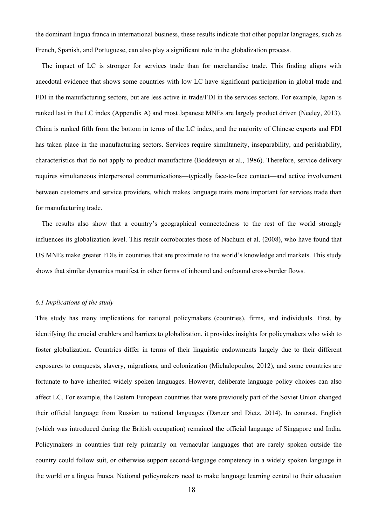the dominant lingua franca in international business, these results indicate that other popular languages, such as French, Spanish, and Portuguese, can also play a significant role in the globalization process.

The impact of LC is stronger for services trade than for merchandise trade. This finding aligns with anecdotal evidence that shows some countries with low LC have significant participation in global trade and FDI in the manufacturing sectors, but are less active in trade/FDI in the services sectors. For example, Japan is ranked last in the LC index (Appendix A) and most Japanese MNEs are largely product driven (Neeley, 2013). China is ranked fifth from the bottom in terms of the LC index, and the majority of Chinese exports and FDI has taken place in the manufacturing sectors. Services require simultaneity, inseparability, and perishability, characteristics that do not apply to product manufacture (Boddewyn et al., 1986). Therefore, service delivery requires simultaneous interpersonal communications—typically face-to-face contact—and active involvement between customers and service providers, which makes language traits more important for services trade than for manufacturing trade.

The results also show that a country's geographical connectedness to the rest of the world strongly influences its globalization level. This result corroborates those of Nachum et al. (2008), who have found that US MNEs make greater FDIs in countries that are proximate to the world's knowledge and markets. This study shows that similar dynamics manifest in other forms of inbound and outbound cross-border flows.

#### *6.1 Implications of the study*

This study has many implications for national policymakers (countries), firms, and individuals. First, by identifying the crucial enablers and barriers to globalization, it provides insights for policymakers who wish to foster globalization. Countries differ in terms of their linguistic endowments largely due to their different exposures to conquests, slavery, migrations, and colonization (Michalopoulos, 2012), and some countries are fortunate to have inherited widely spoken languages. However, deliberate language policy choices can also affect LC. For example, the Eastern European countries that were previously part of the Soviet Union changed their official language from Russian to national languages (Danzer and Dietz, 2014). In contrast, English (which was introduced during the British occupation) remained the official language of Singapore and India. Policymakers in countries that rely primarily on vernacular languages that are rarely spoken outside the country could follow suit, or otherwise support second-language competency in a widely spoken language in the world or a lingua franca. National policymakers need to make language learning central to their education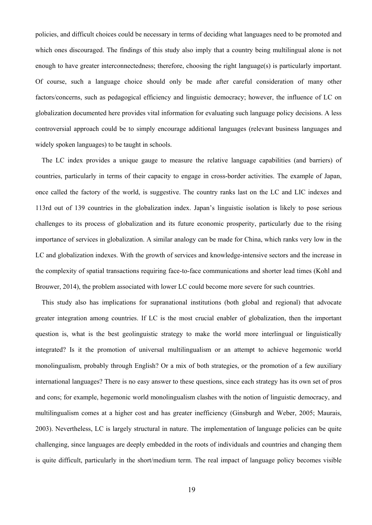policies, and difficult choices could be necessary in terms of deciding what languages need to be promoted and which ones discouraged. The findings of this study also imply that a country being multilingual alone is not enough to have greater interconnectedness; therefore, choosing the right language(s) is particularly important. Of course, such a language choice should only be made after careful consideration of many other factors/concerns, such as pedagogical efficiency and linguistic democracy; however, the influence of LC on globalization documented here provides vital information for evaluating such language policy decisions. A less controversial approach could be to simply encourage additional languages (relevant business languages and widely spoken languages) to be taught in schools.

The LC index provides a unique gauge to measure the relative language capabilities (and barriers) of countries, particularly in terms of their capacity to engage in cross-border activities. The example of Japan, once called the factory of the world, is suggestive. The country ranks last on the LC and LIC indexes and 113rd out of 139 countries in the globalization index. Japan's linguistic isolation is likely to pose serious challenges to its process of globalization and its future economic prosperity, particularly due to the rising importance of services in globalization. A similar analogy can be made for China, which ranks very low in the LC and globalization indexes. With the growth of services and knowledge-intensive sectors and the increase in the complexity of spatial transactions requiring face-to-face communications and shorter lead times (Kohl and Brouwer, 2014), the problem associated with lower LC could become more severe for such countries.

This study also has implications for supranational institutions (both global and regional) that advocate greater integration among countries. If LC is the most crucial enabler of globalization, then the important question is, what is the best geolinguistic strategy to make the world more interlingual or linguistically integrated? Is it the promotion of universal multilingualism or an attempt to achieve hegemonic world monolingualism, probably through English? Or a mix of both strategies, or the promotion of a few auxiliary international languages? There is no easy answer to these questions, since each strategy has its own set of pros and cons; for example, hegemonic world monolingualism clashes with the notion of linguistic democracy, and multilingualism comes at a higher cost and has greater inefficiency (Ginsburgh and Weber, 2005; Maurais, 2003). Nevertheless, LC is largely structural in nature. The implementation of language policies can be quite challenging, since languages are deeply embedded in the roots of individuals and countries and changing them is quite difficult, particularly in the short/medium term. The real impact of language policy becomes visible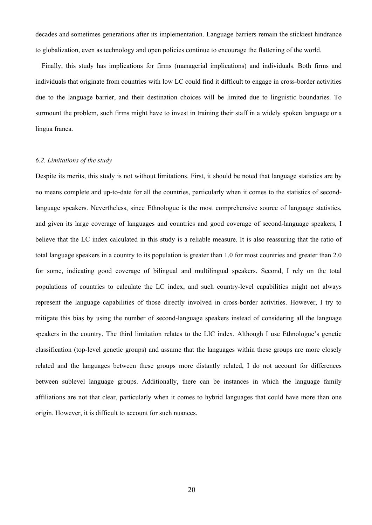decades and sometimes generations after its implementation. Language barriers remain the stickiest hindrance to globalization, even as technology and open policies continue to encourage the flattening of the world.

Finally, this study has implications for firms (managerial implications) and individuals. Both firms and individuals that originate from countries with low LC could find it difficult to engage in cross-border activities due to the language barrier, and their destination choices will be limited due to linguistic boundaries. To surmount the problem, such firms might have to invest in training their staff in a widely spoken language or a lingua franca.

#### *6.2. Limitations of the study*

Despite its merits, this study is not without limitations. First, it should be noted that language statistics are by no means complete and up-to-date for all the countries, particularly when it comes to the statistics of secondlanguage speakers. Nevertheless, since Ethnologue is the most comprehensive source of language statistics, and given its large coverage of languages and countries and good coverage of second-language speakers, I believe that the LC index calculated in this study is a reliable measure. It is also reassuring that the ratio of total language speakers in a country to its population is greater than 1.0 for most countries and greater than 2.0 for some, indicating good coverage of bilingual and multilingual speakers. Second, I rely on the total populations of countries to calculate the LC index, and such country-level capabilities might not always represent the language capabilities of those directly involved in cross-border activities. However, I try to mitigate this bias by using the number of second-language speakers instead of considering all the language speakers in the country. The third limitation relates to the LIC index. Although I use Ethnologue's genetic classification (top-level genetic groups) and assume that the languages within these groups are more closely related and the languages between these groups more distantly related, I do not account for differences between sublevel language groups. Additionally, there can be instances in which the language family affiliations are not that clear, particularly when it comes to hybrid languages that could have more than one origin. However, it is difficult to account for such nuances.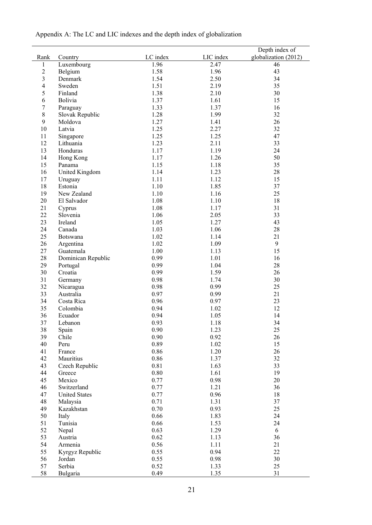|  | Appendix A: The LC and LIC indexes and the depth index of globalization |  |  |
|--|-------------------------------------------------------------------------|--|--|
|  |                                                                         |  |  |

| Rank           | Country              | LC index | LIC index | Depth index of<br>globalization (2012) |
|----------------|----------------------|----------|-----------|----------------------------------------|
| 1              | Luxembourg           | 1.96     | 2.47      | 46                                     |
| $\mathbf{2}$   | Belgium              | 1.58     | 1.96      | 43                                     |
| $\mathfrak{Z}$ | Denmark              | 1.54     | 2.50      | 34                                     |
| $\overline{4}$ | Sweden               | 1.51     | 2.19      | 35                                     |
| 5              | Finland              | 1.38     | 2.10      | 30                                     |
| 6              | Bolivia              | 1.37     | 1.61      | 15                                     |
| 7              | Paraguay             | 1.33     | 1.37      | 16                                     |
| $8\,$          | Slovak Republic      | 1.28     | 1.99      | 32                                     |
| 9              | Moldova              | 1.27     | 1.41      | 26                                     |
| 10             | Latvia               | 1.25     | 2.27      | 32                                     |
| 11             | Singapore            | 1.25     | 1.25      | 47                                     |
| 12             | Lithuania            | 1.23     | 2.11      | 33                                     |
| 13             | Honduras             | 1.17     | 1.19      | 24                                     |
| 14             | Hong Kong            | 1.17     | 1.26      | 50                                     |
| 15             | Panama               | 1.15     | 1.18      | 35                                     |
| 16             | United Kingdom       | 1.14     | 1.23      | 28                                     |
| 17             | Uruguay              | 1.11     | 1.12      | 15                                     |
| 18             | Estonia              | 1.10     | 1.85      | 37                                     |
| 19             | New Zealand          | 1.10     | 1.16      | 25                                     |
| 20             | El Salvador          | 1.08     | 1.10      | 18                                     |
| 21             | Cyprus               | 1.08     | 1.17      | 31                                     |
| 22             | Slovenia             | 1.06     | 2.05      | 33                                     |
| 23             | Ireland              | 1.05     | 1.27      | 43                                     |
| 24             | Canada               | 1.03     | 1.06      | $28\,$                                 |
| 25             | Botswana             | 1.02     | 1.14      | 21                                     |
| 26             | Argentina            | 1.02     | 1.09      | 9                                      |
| 27             | Guatemala            | 1.00     | 1.13      | 15                                     |
| 28             | Dominican Republic   | 0.99     | 1.01      | 16                                     |
| 29             | Portugal             | 0.99     | 1.04      | 28                                     |
| 30             | Croatia              | 0.99     | 1.59      | 26                                     |
| 31             | Germany              | 0.98     | 1.74      | 30                                     |
| 32             | Nicaragua            | 0.98     | 0.99      | 25                                     |
| 33             | Australia            | 0.97     | 0.99      | 21                                     |
| 34             | Costa Rica           | 0.96     | 0.97      | 23                                     |
| 35             | Colombia             | 0.94     | 1.02      | 12                                     |
| 36             | Ecuador              | 0.94     | 1.05      | 14                                     |
| 37             | Lebanon              | 0.93     | 1.18      | 34                                     |
| 38             | Spain                | 0.90     | 1.23      | 25                                     |
| 39             | Chile                | 0.90     | 0.92      | 26                                     |
| 40             | Peru                 | 0.89     | 1.02      | 15                                     |
| 41             | France               | 0.86     | 1.20      | 26                                     |
| 42             | Mauritius            | 0.86     | 1.37      | 32                                     |
| 43             | Czech Republic       | 0.81     | 1.63      | 33                                     |
| 44             | Greece               | $0.80\,$ | 1.61      | 19                                     |
| 45             | Mexico               | 0.77     | 0.98      | $20\,$                                 |
| 46             | Switzerland          | 0.77     | 1.21      | 36                                     |
| 47             | <b>United States</b> | 0.77     | 0.96      | 18                                     |
| 48             | Malaysia             | 0.71     | 1.31      | 37                                     |
| 49             | Kazakhstan           | 0.70     | 0.93      | 25                                     |
| 50             | Italy                | 0.66     | 1.83      | 24                                     |
| 51             | Tunisia              | 0.66     | 1.53      | 24                                     |
| 52             | Nepal                | 0.63     | 1.29      | 6                                      |
| 53             | Austria              | 0.62     | 1.13      | 36                                     |
| 54             | Armenia              | 0.56     | 1.11      | 21                                     |
| 55             | Kyrgyz Republic      | 0.55     | 0.94      | 22                                     |
| 56             | Jordan               | 0.55     | 0.98      | 30                                     |
| 57             | Serbia               | 0.52     | 1.33      | 25                                     |
| 58             | Bulgaria             | 0.49     | 1.35      | 31                                     |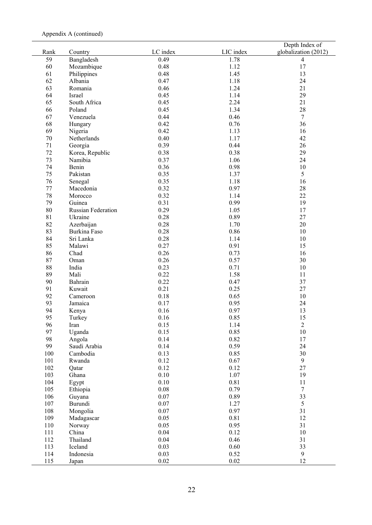|      |                    |          |           | Depth Index of       |
|------|--------------------|----------|-----------|----------------------|
| Rank | Country            | LC index | LIC index | globalization (2012) |
| 59   | Bangladesh         | 0.49     | 1.78      | 4                    |
| 60   | Mozambique         | 0.48     | 1.12      | 17                   |
| 61   | Philippines        | 0.48     | 1.45      | 13                   |
| 62   | Albania            | 0.47     | 1.18      | 24                   |
| 63   | Romania            | 0.46     | 1.24      | 21                   |
| 64   | Israel             | 0.45     | 1.14      | 29                   |
| 65   | South Africa       | 0.45     | 2.24      | 21                   |
| 66   | Poland             | 0.45     | 1.34      | 28                   |
| 67   | Venezuela          | 0.44     | 0.46      | $7\phantom{.0}$      |
| 68   | Hungary            | 0.42     | 0.76      | 36                   |
| 69   | Nigeria            | 0.42     | 1.13      | 16                   |
| 70   | Netherlands        | 0.40     | 1.17      | 42                   |
| 71   | Georgia            | 0.39     | 0.44      | 26                   |
| 72   | Korea, Republic    | 0.38     | 0.38      | 29                   |
| 73   | Namibia            | 0.37     | 1.06      | 24                   |
| 74   | Benin              | 0.36     | 0.98      | 10                   |
| 75   | Pakistan           | 0.35     | 1.37      | 5                    |
| 76   | Senegal            | 0.35     | 1.18      | 16                   |
| 77   | Macedonia          | 0.32     | 0.97      | 28                   |
| 78   | Morocco            | 0.32     | 1.14      | 22                   |
| 79   | Guinea             | 0.31     | 0.99      | 19                   |
| 80   | Russian Federation | 0.29     | 1.05      | 17                   |
| 81   | Ukraine            | 0.28     | 0.89      | 27                   |
| 82   |                    |          | 1.70      | 20                   |
|      | Azerbaijan         | 0.28     |           |                      |
| 83   | Burkina Faso       | 0.28     | 0.86      | 10                   |
| 84   | Sri Lanka          | 0.28     | 1.14      | 10                   |
| 85   | Malawi             | 0.27     | 0.91      | 15                   |
| 86   | Chad               | 0.26     | 0.73      | 16                   |
| 87   | Oman               | 0.26     | 0.57      | 30                   |
| 88   | India              | 0.23     | 0.71      | 10                   |
| 89   | Mali               | 0.22     | 1.58      | 11                   |
| 90   | Bahrain            | 0.22     | 0.47      | 37                   |
| 91   | Kuwait             | 0.21     | 0.25      | 27                   |
| 92   | Cameroon           | 0.18     | 0.65      | 10                   |
| 93   | Jamaica            | 0.17     | 0.95      | 24                   |
| 94   | Kenya              | 0.16     | 0.97      | 13                   |
| 95   | Turkey             | 0.16     | 0.85      | 15                   |
| 96   | Iran               | 0.15     | 1.14      | $\overline{2}$       |
| 97   | Uganda             | 0.15     | 0.85      | $10\,$               |
| 98   | Angola             | 0.14     | 0.82      | 17                   |
| 99   | Saudi Arabia       | 0.14     | 0.59      | 24                   |
| 100  | Cambodia           | 0.13     | 0.85      | 30                   |
| 101  | Rwanda             | 0.12     | 0.67      | 9                    |
| 102  | Qatar              | 0.12     | 0.12      | 27                   |
| 103  | Ghana              | 0.10     | 1.07      | 19                   |
| 104  | Egypt              | 0.10     | 0.81      | 11                   |
| 105  | Ethiopia           | $0.08\,$ | 0.79      | $7\phantom{.0}$      |
| 106  | Guyana             | $0.07\,$ | 0.89      | 33                   |
| 107  | Burundi            | $0.07\,$ | 1.27      | 5                    |
| 108  | Mongolia           | $0.07\,$ | 0.97      | 31                   |
| 109  | Madagascar         | 0.05     | 0.81      | 12                   |
| 110  | Norway             | 0.05     | 0.95      | 31                   |
| 111  | China              | 0.04     | 0.12      | $10\,$               |
| 112  | Thailand           | 0.04     | 0.46      | 31                   |
| 113  | Iceland            | 0.03     | 0.60      | 33                   |
| 114  | Indonesia          | 0.03     | 0.52      | 9                    |
| 115  | Japan              | 0.02     | $0.02\,$  | 12                   |
|      |                    |          |           |                      |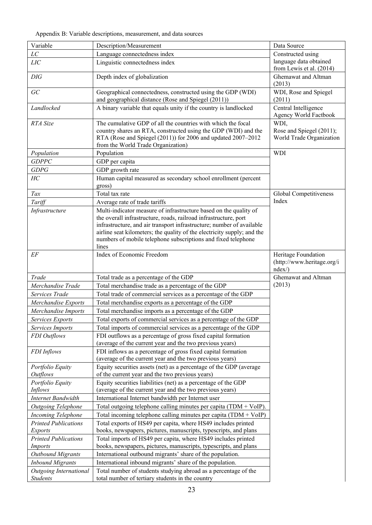Appendix B: Variable descriptions, measurement, and data sources

| Variable                            | Description/Measurement                                                                                                                                                                                                                                                                                                                                             | Data Source                                                  |
|-------------------------------------|---------------------------------------------------------------------------------------------------------------------------------------------------------------------------------------------------------------------------------------------------------------------------------------------------------------------------------------------------------------------|--------------------------------------------------------------|
| LC                                  | Language connectedness index                                                                                                                                                                                                                                                                                                                                        | Constructed using                                            |
| LIC                                 | Linguistic connectedness index                                                                                                                                                                                                                                                                                                                                      | language data obtained<br>from Lewis et al. (2014)           |
| DIG                                 | Depth index of globalization                                                                                                                                                                                                                                                                                                                                        | Ghemawat and Altman<br>(2013)                                |
| GC                                  | Geographical connectedness, constructed using the GDP (WDI)<br>and geographical distance (Rose and Spiegel (2011))                                                                                                                                                                                                                                                  | WDI, Rose and Spiegel<br>(2011)                              |
| Landlocked                          | A binary variable that equals unity if the country is landlocked                                                                                                                                                                                                                                                                                                    | Central Intelligence<br>Agency World Factbook                |
| RTA Size                            | The cumulative GDP of all the countries with which the focal<br>country shares an RTA, constructed using the GDP (WDI) and the<br>RTA (Rose and Spiegel (2011)) for 2006 and updated 2007-2012<br>from the World Trade Organization)                                                                                                                                | WDI,<br>Rose and Spiegel (2011);<br>World Trade Organization |
| Population                          | Population                                                                                                                                                                                                                                                                                                                                                          | <b>WDI</b>                                                   |
| <b>GDPPC</b>                        | GDP per capita                                                                                                                                                                                                                                                                                                                                                      |                                                              |
| <b>GDPG</b>                         | GDP growth rate                                                                                                                                                                                                                                                                                                                                                     |                                                              |
| HC                                  | Human capital measured as secondary school enrollment (percent<br>gross)                                                                                                                                                                                                                                                                                            |                                                              |
| Tax                                 | Total tax rate                                                                                                                                                                                                                                                                                                                                                      | Global Competitiveness                                       |
| Tariff                              | Average rate of trade tariffs                                                                                                                                                                                                                                                                                                                                       | Index                                                        |
| Infrastructure                      | Multi-indicator measure of infrastructure based on the quality of<br>the overall infrastructure, roads, railroad infrastructure, port<br>infrastructure, and air transport infrastructure; number of available<br>airline seat kilometers; the quality of the electricity supply; and the<br>numbers of mobile telephone subscriptions and fixed telephone<br>lines |                                                              |
| $E\hspace{-0.08em}F$                | Index of Economic Freedom                                                                                                                                                                                                                                                                                                                                           | Heritage Foundation                                          |
|                                     |                                                                                                                                                                                                                                                                                                                                                                     | (http://www.heritage.org/i<br>ndex                           |
| Trade                               | Total trade as a percentage of the GDP                                                                                                                                                                                                                                                                                                                              | Ghemawat and Altman                                          |
| Merchandise Trade                   | Total merchandise trade as a percentage of the GDP                                                                                                                                                                                                                                                                                                                  | (2013)                                                       |
| Services Trade                      | Total trade of commercial services as a percentage of the GDP                                                                                                                                                                                                                                                                                                       |                                                              |
| Merchandise Exports                 | Total merchandise exports as a percentage of the GDP                                                                                                                                                                                                                                                                                                                |                                                              |
| Merchandise Imports                 | Total merchandise imports as a percentage of the GDP                                                                                                                                                                                                                                                                                                                |                                                              |
| Services Exports                    | Total exports of commercial services as a percentage of the GDP                                                                                                                                                                                                                                                                                                     |                                                              |
| Services Imports                    | Total imports of commercial services as a percentage of the GDP                                                                                                                                                                                                                                                                                                     |                                                              |
| FDI Outflows                        | FDI outflows as a percentage of gross fixed capital formation                                                                                                                                                                                                                                                                                                       |                                                              |
|                                     | (average of the current year and the two previous years)                                                                                                                                                                                                                                                                                                            |                                                              |
| <b>FDI</b> Inflows                  | FDI inflows as a percentage of gross fixed capital formation<br>(average of the current year and the two previous years)                                                                                                                                                                                                                                            |                                                              |
| Portfolio Equity<br><b>Outflows</b> | Equity securities assets (net) as a percentage of the GDP (average<br>of the current year and the two previous years)                                                                                                                                                                                                                                               |                                                              |
| Portfolio Equity                    | Equity securities liabilities (net) as a percentage of the GDP                                                                                                                                                                                                                                                                                                      |                                                              |
| <b>Inflows</b>                      | (average of the current year and the two previous years)                                                                                                                                                                                                                                                                                                            |                                                              |
| <b>Internet Bandwidth</b>           | International Internet bandwidth per Internet user                                                                                                                                                                                                                                                                                                                  |                                                              |
| Outgoing Telephone                  | Total outgoing telephone calling minutes per capita (TDM $+$ VoIP).                                                                                                                                                                                                                                                                                                 |                                                              |
| <b>Incoming Telephone</b>           | Total incoming telephone calling minutes per capita $(TDM + VoIP)$                                                                                                                                                                                                                                                                                                  |                                                              |
| <b>Printed Publications</b>         | Total exports of HS49 per capita, where HS49 includes printed                                                                                                                                                                                                                                                                                                       |                                                              |
| <b>Exports</b>                      | books, newspapers, pictures, manuscripts, typescripts, and plans                                                                                                                                                                                                                                                                                                    |                                                              |
| <b>Printed Publications</b>         | Total imports of HS49 per capita, where HS49 includes printed                                                                                                                                                                                                                                                                                                       |                                                              |
| <i>Imports</i>                      | books, newspapers, pictures, manuscripts, typescripts, and plans                                                                                                                                                                                                                                                                                                    |                                                              |
| <b>Outbound Migrants</b>            | International outbound migrants' share of the population.                                                                                                                                                                                                                                                                                                           |                                                              |
| <b>Inbound Migrants</b>             | International inbound migrants' share of the population.                                                                                                                                                                                                                                                                                                            |                                                              |
| <b>Outgoing International</b>       | Total number of students studying abroad as a percentage of the                                                                                                                                                                                                                                                                                                     |                                                              |
| Students                            | total number of tertiary students in the country                                                                                                                                                                                                                                                                                                                    |                                                              |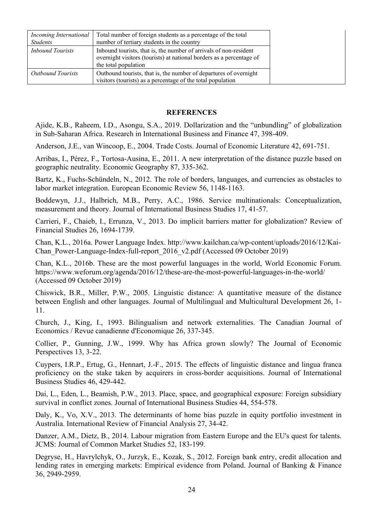| Incoming International<br><b>Students</b> | Total number of foreign students as a percentage of the total<br>number of tertiary students in the country                                                        |
|-------------------------------------------|--------------------------------------------------------------------------------------------------------------------------------------------------------------------|
| <i>Inbound Tourists</i>                   | In bound tourists, that is, the number of arrivals of non-resident<br>overnight visitors (tourists) at national borders as a percentage of<br>the total population |
| <b>Outbound Tourists</b>                  | Outbound tourists, that is, the number of departures of overnight<br>visitors (tourists) as a percentage of the total population                                   |

### **REFERENCES**

Ajide, K.B., Raheem, I.D., Asongu, S.A., 2019. Dollarization and the "unbundling" of globalization in Sub-Saharan Africa. Research in International Business and Finance 47, 398-409.

Anderson, J.E., van Wincoop, E., 2004. Trade Costs. Journal of Economic Literature 42, 691-751.

Arribas, I., Pérez, F., Tortosa-Ausina, E., 2011. A new interpretation of the distance puzzle based on geographic neutrality. Economic Geography 87, 335-362.

Bartz, K., Fuchs-Schündeln, N., 2012. The role of borders, languages, and currencies as obstacles to labor market integration. European Economic Review 56, 1148-1163.

Boddewyn, J.J., Halbrich, M.B., Perry, A.C., 1986. Service multinationals: Conceptualization, measurement and theory. Journal of International Business Studies 17, 41-57.

Carrieri, F., Chaieb, I., Errunza, V., 2013. Do implicit barriers matter for globalization? Review of Financial Studies 26, 1694-1739.

Chan, K.L., 2016a. Power Language Index. http://www.kailchan.ca/wp-content/uploads/2016/12/Kai-Chan Power-Language-Index-full-report 2016 v2.pdf (Accessed 09 October 2019)

Chan, K.L., 2016b. These are the most powerful languages in the world, World Economic Forum. https://www.weforum.org/agenda/2016/12/these-are-the-most-powerful-languages-in-the-world/ (Accessed 09 October 2019)

Chiswick, B.R., Miller, P.W., 2005. Linguistic distance: A quantitative measure of the distance between English and other languages. Journal of Multilingual and Multicultural Development 26, 1- 11.

Church, J., King, I., 1993. Bilingualism and network externalities. The Canadian Journal of Economics / Revue canadienne d'Economique 26, 337-345.

Collier, P., Gunning, J.W., 1999. Why has Africa grown slowly? The Journal of Economic Perspectives 13, 3-22.

Cuypers, I.R.P., Ertug, G., Hennart, J.-F., 2015. The effects of linguistic distance and lingua franca proficiency on the stake taken by acquirers in cross-border acquisitions. Journal of International Business Studies 46, 429-442.

Dai, L., Eden, L., Beamish, P.W., 2013. Place, space, and geographical exposure: Foreign subsidiary survival in conflict zones. Journal of International Business Studies 44, 554-578.

Daly, K., Vo, X.V., 2013. The determinants of home bias puzzle in equity portfolio investment in Australia. International Review of Financial Analysis 27, 34-42.

Danzer, A.M., Dietz, B., 2014. Labour migration from Eastern Europe and the EU's quest for talents. JCMS: Journal of Common Market Studies 52, 183-199.

Degryse, H., Havrylchyk, O., Jurzyk, E., Kozak, S., 2012. Foreign bank entry, credit allocation and lending rates in emerging markets: Empirical evidence from Poland. Journal of Banking & Finance 36, 2949-2959.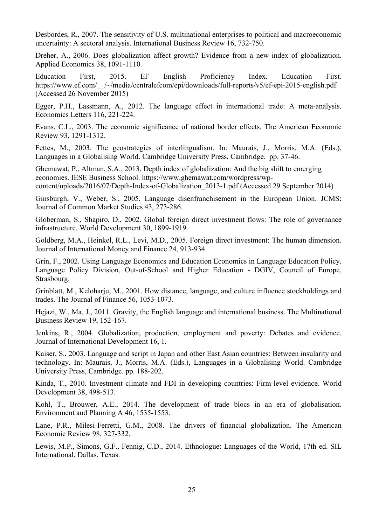Desbordes, R., 2007. The sensitivity of U.S. multinational enterprises to political and macroeconomic uncertainty: A sectoral analysis. International Business Review 16, 732-750.

Dreher, A., 2006. Does globalization affect growth? Evidence from a new index of globalization. Applied Economics 38, 1091-1110.

Education First, 2015. EF English Proficiency Index. Education First. https://www.ef.com/\_\_/~/media/centralefcom/epi/downloads/full-reports/v5/ef-epi-2015-english.pdf (Accessed 26 November 2015)

Egger, P.H., Lassmann, A., 2012. The language effect in international trade: A meta-analysis. Economics Letters 116, 221-224.

Evans, C.L., 2003. The economic significance of national border effects. The American Economic Review 93, 1291-1312.

Fettes, M., 2003. The geostrategies of interlingualism. In: Maurais, J., Morris, M.A. (Eds.), Languages in a Globalising World. Cambridge University Press, Cambridge. pp. 37-46.

Ghemawat, P., Altman, S.A., 2013. Depth index of globalization: And the big shift to emerging economies. IESE Business School. https://www.ghemawat.com/wordpress/wpcontent/uploads/2016/07/Depth-Index-of-Globalization\_2013-1.pdf (Accessed 29 September 2014)

Ginsburgh, V., Weber, S., 2005. Language disenfranchisement in the European Union. JCMS: Journal of Common Market Studies 43, 273-286.

Globerman, S., Shapiro, D., 2002. Global foreign direct investment flows: The role of governance infrastructure. World Development 30, 1899-1919.

Goldberg, M.A., Heinkel, R.L., Levi, M.D., 2005. Foreign direct investment: The human dimension. Journal of International Money and Finance 24, 913-934.

Grin, F., 2002. Using Language Economics and Education Economics in Language Education Policy. Language Policy Division, Out-of-School and Higher Education - DGIV, Council of Europe, Strasbourg.

Grinblatt, M., Keloharju, M., 2001. How distance, language, and culture influence stockholdings and trades. The Journal of Finance 56, 1053-1073.

Hejazi, W., Ma, J., 2011. Gravity, the English language and international business. The Multinational Business Review 19, 152-167.

Jenkins, R., 2004. Globalization, production, employment and poverty: Debates and evidence. Journal of International Development 16, 1.

Kaiser, S., 2003. Language and script in Japan and other East Asian countries: Between insularity and technology. In: Maurais, J., Morris, M.A. (Eds.), Languages in a Globalising World. Cambridge University Press, Cambridge. pp. 188-202.

Kinda, T., 2010. Investment climate and FDI in developing countries: Firm-level evidence. World Development 38, 498-513.

Kohl, T., Brouwer, A.E., 2014. The development of trade blocs in an era of globalisation. Environment and Planning A 46, 1535-1553.

Lane, P.R., Milesi-Ferretti, G.M., 2008. The drivers of financial globalization. The American Economic Review 98, 327-332.

Lewis, M.P., Simons, G.F., Fennig, C.D., 2014. Ethnologue: Languages of the World, 17th ed. SIL International, Dallas, Texas.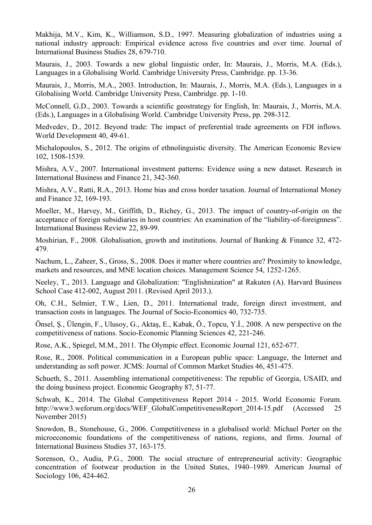Makhija, M.V., Kim, K., Williamson, S.D., 1997. Measuring globalization of industries using a national industry approach: Empirical evidence across five countries and over time. Journal of International Business Studies 28, 679-710.

Maurais, J., 2003. Towards a new global linguistic order, In: Maurais, J., Morris, M.A. (Eds.), Languages in a Globalising World. Cambridge University Press, Cambridge. pp. 13-36.

Maurais, J., Morris, M.A., 2003. Introduction, In: Maurais, J., Morris, M.A. (Eds.), Languages in a Globalising World. Cambridge University Press, Cambridge. pp. 1-10.

McConnell, G.D., 2003. Towards a scientific geostrategy for English, In: Maurais, J., Morris, M.A. (Eds.), Languages in a Globalising World. Cambridge University Press, pp. 298-312.

Medvedev, D., 2012. Beyond trade: The impact of preferential trade agreements on FDI inflows. World Development 40, 49-61.

Michalopoulos, S., 2012. The origins of ethnolinguistic diversity. The American Economic Review 102, 1508-1539.

Mishra, A.V., 2007. International investment patterns: Evidence using a new dataset. Research in International Business and Finance 21, 342-360.

Mishra, A.V., Ratti, R.A., 2013. Home bias and cross border taxation. Journal of International Money and Finance 32, 169-193.

Moeller, M., Harvey, M., Griffith, D., Richey, G., 2013. The impact of country-of-origin on the acceptance of foreign subsidiaries in host countries: An examination of the "liability-of-foreignness". International Business Review 22, 89-99.

Moshirian, F., 2008. Globalisation, growth and institutions. Journal of Banking & Finance 32, 472- 479.

Nachum, L., Zaheer, S., Gross, S., 2008. Does it matter where countries are? Proximity to knowledge, markets and resources, and MNE location choices. Management Science 54, 1252-1265.

Neeley, T., 2013. Language and Globalization: "Englishnization" at Rakuten (A). Harvard Business School Case 412-002, August 2011. (Revised April 2013.).

Oh, C.H., Selmier, T.W., Lien, D., 2011. International trade, foreign direct investment, and transaction costs in languages. The Journal of Socio-Economics 40, 732-735.

Önsel, Ş., Ülengin, F., Ulusoy, G., Aktaş, E., Kabak, Ö., Topcu, Y.İ., 2008. A new perspective on the competitiveness of nations. Socio-Economic Planning Sciences 42, 221-246.

Rose, A.K., Spiegel, M.M., 2011. The Olympic effect. Economic Journal 121, 652-677.

Rose, R., 2008. Political communication in a European public space: Language, the Internet and understanding as soft power. JCMS: Journal of Common Market Studies 46, 451-475.

Schueth, S., 2011. Assembling international competitiveness: The republic of Georgia, USAID, and the doing business project. Economic Geography 87, 51-77.

Schwab, K., 2014. The Global Competitiveness Report 2014 - 2015. World Economic Forum. http://www3.weforum.org/docs/WEF\_GlobalCompetitivenessReport\_2014-15.pdf (Accessed 25 November 2015)

Snowdon, B., Stonehouse, G., 2006. Competitiveness in a globalised world: Michael Porter on the microeconomic foundations of the competitiveness of nations, regions, and firms. Journal of International Business Studies 37, 163-175.

Sorenson, O., Audia, P.G., 2000. The social structure of entrepreneurial activity: Geographic concentration of footwear production in the United States, 1940–1989. American Journal of Sociology 106, 424-462.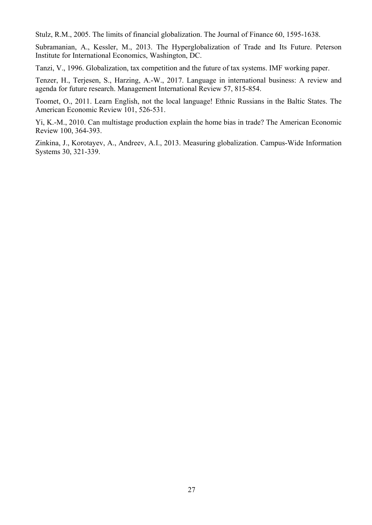Stulz, R.M., 2005. The limits of financial globalization. The Journal of Finance 60, 1595-1638.

Subramanian, A., Kessler, M., 2013. The Hyperglobalization of Trade and Its Future. Peterson Institute for International Economics, Washington, DC.

Tanzi, V., 1996. Globalization, tax competition and the future of tax systems. IMF working paper.

Tenzer, H., Terjesen, S., Harzing, A.-W., 2017. Language in international business: A review and agenda for future research. Management International Review 57, 815-854.

Toomet, O., 2011. Learn English, not the local language! Ethnic Russians in the Baltic States. The American Economic Review 101, 526-531.

Yi, K.-M., 2010. Can multistage production explain the home bias in trade? The American Economic Review 100, 364-393.

Zinkina, J., Korotayev, A., Andreev, A.I., 2013. Measuring globalization. Campus-Wide Information Systems 30, 321-339.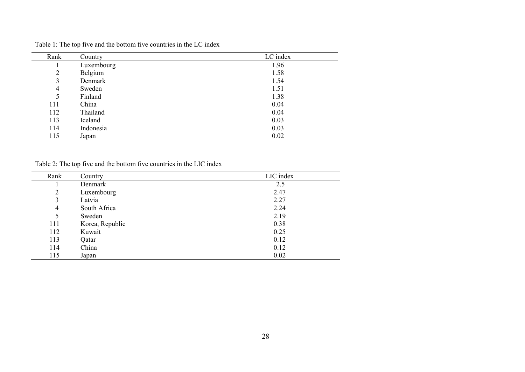| Rank | Country    | LC index |
|------|------------|----------|
|      | Luxembourg | 1.96     |
| 2    | Belgium    | 1.58     |
| 3    | Denmark    | 1.54     |
| 4    | Sweden     | 1.51     |
| 5    | Finland    | 1.38     |
| 111  | China      | 0.04     |
| 112  | Thailand   | 0.04     |
| 113  | Iceland    | 0.03     |
| 114  | Indonesia  | 0.03     |
| 115  | Japan      | 0.02     |

Table 1: The top five and the bottom five countries in the LC index

Table 2: The top five and the bottom five countries in the LIC index

| Rank           | Country         | LIC index |
|----------------|-----------------|-----------|
|                | Denmark         | 2.5       |
| $\overline{2}$ | Luxembourg      | 2.47      |
| 3              | Latvia          | 2.27      |
| 4              | South Africa    | 2.24      |
| 5              | Sweden          | 2.19      |
| 111            | Korea, Republic | 0.38      |
| 112            | Kuwait          | 0.25      |
| 113            | Qatar           | 0.12      |
| 114            | China           | 0.12      |
| 115            | Japan           | 0.02      |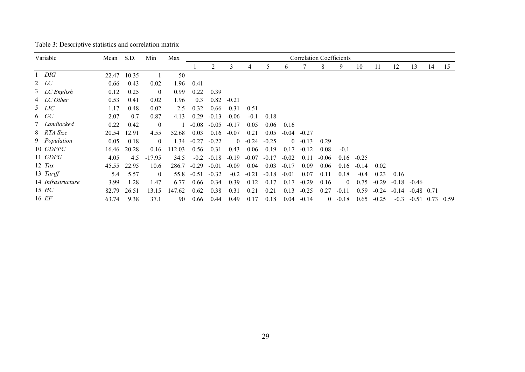| Variable          | Mean  | S.D.        | Min            | Max    | <b>Correlation Coefficients</b> |         |                |         |         |         |           |         |           |         |         |         |              |    |      |
|-------------------|-------|-------------|----------------|--------|---------------------------------|---------|----------------|---------|---------|---------|-----------|---------|-----------|---------|---------|---------|--------------|----|------|
|                   |       |             |                |        |                                 | 2       | 3              | 4       | 5       | 6       |           | 8       | 9         | 10      | 11      | 12      | 13           | 14 | 15   |
| $1$ DIG           | 22.47 | 10.35       |                | 50     |                                 |         |                |         |         |         |           |         |           |         |         |         |              |    |      |
| 2 LC              | 0.66  | 0.43        | 0.02           | 1.96   | 0.41                            |         |                |         |         |         |           |         |           |         |         |         |              |    |      |
| 3 LC English      | 0.12  | 0.25        | $\overline{0}$ | 0.99   | 0.22                            | 0.39    |                |         |         |         |           |         |           |         |         |         |              |    |      |
| 4 LC Other        | 0.53  | 0.41        | 0.02           | 1.96   | 0.3                             | 0.82    | $-0.21$        |         |         |         |           |         |           |         |         |         |              |    |      |
| $5$ <i>LIC</i>    | 1.17  | 0.48        | 0.02           | 2.5    | 0.32                            | 0.66    | 0.31           | 0.51    |         |         |           |         |           |         |         |         |              |    |      |
| $6 \quad GC$      | 2.07  | 0.7         | 0.87           | 4.13   | 0.29                            | $-0.13$ | $-0.06$        | $-0.1$  | 0.18    |         |           |         |           |         |         |         |              |    |      |
| 7 Landlocked      | 0.22  | 0.42        | $\mathbf{0}$   |        | $-0.08$                         | $-0.05$ | $-0.17$        | 0.05    | 0.06    | 0.16    |           |         |           |         |         |         |              |    |      |
| 8 RTA Size        | 20.54 | 12.91       | 4.55           | 52.68  | 0.03                            | 0.16    | $-0.07$        | 0.21    | 0.05    | $-0.04$ | $-0.27$   |         |           |         |         |         |              |    |      |
| 9 Population      | 0.05  | 0.18        | $\mathbf{0}$   | 1.34   | $-0.27$                         | $-0.22$ | $\overline{0}$ | $-0.24$ | $-0.25$ |         | $0 -0.13$ | 0.29    |           |         |         |         |              |    |      |
| 10 GDPPC          | 16.46 | 20.28       | 0.16           | 112.03 | 0.56                            | 0.31    | 0.43           | 0.06    | 0.19    | 0.17    | $-0.12$   | 0.08    | $-0.1$    |         |         |         |              |    |      |
| 11 GDPG           | 4.05  | 4.5         | $-17.95$       | 34.5   | $-0.2$                          | $-0.18$ | $-0.19$        | $-0.07$ | $-0.17$ | $-0.02$ | 0.11      | $-0.06$ | 0.16      | $-0.25$ |         |         |              |    |      |
| $12$ Tax          |       | 45.55 22.95 | 10.6           | 286.7  | $-0.29$                         | $-0.01$ | $-0.09$        | 0.04    | 0.03    | $-0.17$ | 0.09      | 0.06    | 0.16      | $-0.14$ | 0.02    |         |              |    |      |
| 13 Tariff         | 5.4   | 5.57        | $\overline{0}$ | 55.8   | $-0.51$                         | $-0.32$ | $-0.2$         | $-0.21$ | $-0.18$ | $-0.01$ | 0.07      | 0.11    | 0.18      | $-0.4$  | 0.23    | 0.16    |              |    |      |
| 14 Infrastructure | 3.99  | 1.28        | 1.47           | 6.77   | 0.66                            | 0.34    | 0.39           | 0.12    | 0.17    | 0.17    | $-0.29$   | 0.16    | $\theta$  | 0.75    | $-0.29$ | $-0.18$ | $-0.46$      |    |      |
| 15 HC             | 82.79 | 26.51       | 13.15          | 147.62 | 0.62                            | 0.38    | 0.31           | 0.21    | 0.21    | 0.13    | $-0.25$   | 0.27    | $-0.11$   | 0.59    | $-0.24$ | $-0.14$ | $-0.48$ 0.71 |    |      |
| 16 EF             | 63.74 | 9.38        | 37.1           | 90     | 0.66                            | 0.44    | 0.49           | 0.17    | 0.18    | 0.04    | $-0.14$   |         | $0 -0.18$ | 0.65    | $-0.25$ | $-0.3$  | $-0.51$ 0.73 |    | 0.59 |

Table 3: Descriptive statistics and correlation matrix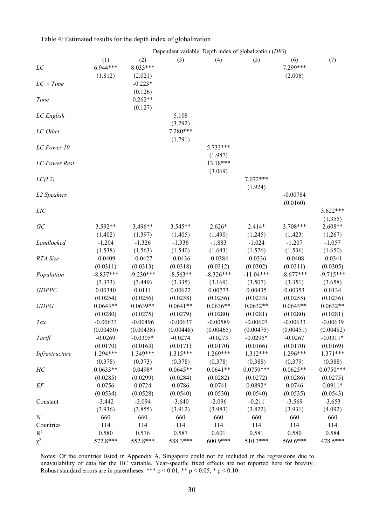|                  | Dependent variable: Depth index of globalization (DIG) |                |            |             |             |             |                      |  |  |  |
|------------------|--------------------------------------------------------|----------------|------------|-------------|-------------|-------------|----------------------|--|--|--|
|                  | (1)                                                    | (2)            | (3)        | (4)         | (5)         | (6)         | (7)                  |  |  |  |
| $\cal LC$        | 6.944***                                               | 8.033***       |            |             |             | 7.299***    |                      |  |  |  |
|                  | (1.812)                                                | (2.021)        |            |             |             | (2.006)     |                      |  |  |  |
| $LC \times Time$ |                                                        | $-0.223*$      |            |             |             |             |                      |  |  |  |
|                  |                                                        | (0.126)        |            |             |             |             |                      |  |  |  |
| Time             |                                                        | $0.262**$      |            |             |             |             |                      |  |  |  |
|                  |                                                        | (0.127)        |            |             |             |             |                      |  |  |  |
| LC English       |                                                        |                | 5.108      |             |             |             |                      |  |  |  |
|                  |                                                        |                | (3.292)    |             |             |             |                      |  |  |  |
| LC Other         |                                                        |                | 7.280***   |             |             |             |                      |  |  |  |
|                  |                                                        |                | (1.791)    |             |             |             |                      |  |  |  |
| LC Power 10      |                                                        |                |            | 5.733***    |             |             |                      |  |  |  |
|                  |                                                        |                |            | (1.987)     |             |             |                      |  |  |  |
|                  |                                                        |                |            | 13.18***    |             |             |                      |  |  |  |
| LC Power Rest    |                                                        |                |            |             |             |             |                      |  |  |  |
|                  |                                                        |                |            | (3.069)     |             |             |                      |  |  |  |
| LC(L2)           |                                                        |                |            |             | $7.072***$  |             |                      |  |  |  |
|                  |                                                        |                |            |             | (1.924)     |             |                      |  |  |  |
| L2 Speakers      |                                                        |                |            |             |             | $-0.00784$  |                      |  |  |  |
|                  |                                                        |                |            |             |             | (0.0160)    |                      |  |  |  |
| LIC              |                                                        |                |            |             |             |             | $3.622***$           |  |  |  |
|                  |                                                        |                |            |             |             |             | (1.355)              |  |  |  |
| GC               | 3.592**                                                | 3.496**        | 3.545**    | $2.626*$    | 2.414*      | 3.708***    | $2.608**$            |  |  |  |
|                  | (1.402)                                                | (1.397)        | (1.405)    | (1.490)     | (1.245)     | (1.423)     | (1.267)              |  |  |  |
| Landlocked       | $-1.204$                                               | $-1.326$       | $-1.336$   | $-1.883$    | $-1.024$    | $-1.207$    | $-1.057$             |  |  |  |
|                  | (1.538)                                                | (1.563)        | (1.540)    | (1.643)     | (1.576)     | (1.536)     | (1.650)              |  |  |  |
| RTA Size         | $-0.0409$                                              | $-0.0427$      | $-0.0436$  | $-0.0384$   | $-0.0336$   | $-0.0408$   | $-0.0341$            |  |  |  |
|                  | (0.0311)                                               | (0.0313)       | (0.0318)   | (0.0312)    | (0.0302)    | (0.0311)    | (0.0305)             |  |  |  |
| Population       | $-8.837***$                                            | $-9.230***$    | $-8.563**$ | $-8.326***$ | $-11.04***$ | $-8.677***$ | $-9.715***$          |  |  |  |
|                  | (3.373)                                                | (3.449)        | (3.335)    | (3.169)     | (3.507)     | (3.351)     | (3.658)              |  |  |  |
| <b>GDPPC</b>     | 0.00340                                                | 0.0111         | 0.00622    | 0.00773     | 0.00435     | 0.00353     | 0.0134               |  |  |  |
|                  | (0.0254)                                               | (0.0256)       | (0.0258)   | (0.0256)    | (0.0233)    | (0.0255)    | (0.0236)             |  |  |  |
| GDPG             | $0.0643**$                                             | $0.0639**$     | $0.0641**$ | $0.0636**$  | $0.0632**$  | $0.0643**$  | $0.0632**$           |  |  |  |
|                  | (0.0280)                                               | (0.0275)       | (0.0279)   | (0.0280)    | (0.0281)    | (0.0280)    | (0.0281)             |  |  |  |
| $\mathit{Tax}$   | $-0.00633$                                             | $-0.00496$     | $-0.00637$ | $-0.00589$  | $-0.00607$  | $-0.00633$  | $-0.00639$           |  |  |  |
|                  | (0.00450)                                              | (0.00438)      | (0.00448)  | (0.00465)   | (0.00475)   | (0.00451)   | (0.00482)            |  |  |  |
| Tariff           | $-0.0269$                                              | $-0.0305*$     | $-0.0274$  | $-0.0273$   | $-0.0295*$  | $-0.0267$   | $-0.0311*$           |  |  |  |
|                  | (0.0170)                                               | (0.0163)       | (0.0171)   | (0.0170)    | (0.0166)    | (0.0170)    | (0.0169)             |  |  |  |
| Infrastructure   | 1.294***                                               | 1.349***       | $1.315***$ | 1.269***    | $1.312***$  | 1.296***    | $1.371***$           |  |  |  |
|                  | (0.378)                                                | (0.373)        | (0.378)    | (0.378)     | (0.388)     | (0.379)     | (0.388)              |  |  |  |
| HC               | $0.0633**$                                             | $0.0498*$      | $0.0645**$ | $0.0641**$  | $0.0759***$ | $0.0625**$  | $0.0750***$          |  |  |  |
|                  | (0.0285)                                               | (0.0299)       | (0.0284)   | (0.0282)    | (0.0272)    | (0.0286)    | (0.0275)             |  |  |  |
| $E\!F$           | 0.0756                                                 | 0.0724         | 0.0786     | 0.0741      | $0.0892*$   | 0.0746      | $0.0911*$            |  |  |  |
|                  | (0.0534)                                               | (0.0528)       | (0.0540)   | (0.0530)    | (0.0540)    | (0.0535)    |                      |  |  |  |
|                  | $-3.442$                                               | $-3.094$       | $-3.640$   | $-2.096$    | $-0.211$    | $-3.569$    | (0.0543)<br>$-3.653$ |  |  |  |
| Constant         | (3.936)                                                |                | (3.912)    | (3.983)     | (3.822)     | (3.931)     |                      |  |  |  |
| ${\bf N}$        | 660                                                    | (3.855)<br>660 | 660        | 660         | 660         | 660         | (4.092)<br>660       |  |  |  |
|                  |                                                        | 114            | 114        | 114         | 114         | 114         |                      |  |  |  |
| Countries        | 114                                                    |                |            |             |             |             | 114                  |  |  |  |
| $R^2$            | 0.580                                                  | 0.576          | 0.587      | 0.601       | 0.581       | 0.580       | 0.584                |  |  |  |
| $\chi^2$         | 572.8***                                               | 552.8***       | 588.3***   | 600.9***    | 510.3***    | 569.6***    | 478.5***             |  |  |  |

Table 4: Estimated results for the depth index of globalization

Notes: Of the countries listed in Appendix A, Singapore could not be included in the regressions due to unavailability of data for the HC variable. Year-specific fixed effects are not reported here for brevity. Robust standard errors are in parentheses. \*\*\*  $p \le 0.01$ , \*\*  $p \le 0.05$ , \*  $p \le 0.10$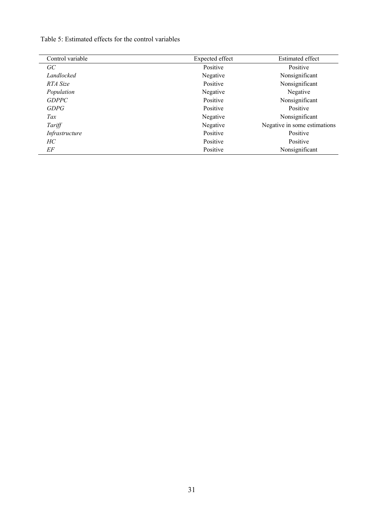Table 5: Estimated effects for the control variables

| Control variable | Expected effect | <b>Estimated effect</b>      |
|------------------|-----------------|------------------------------|
| GC               | Positive        | Positive                     |
| Landlocked       | Negative        | Nonsignificant               |
| RTA Size         | Positive        | Nonsignificant               |
| Population       | Negative        | Negative                     |
| <b>GDPPC</b>     | Positive        | Nonsignificant               |
| <i>GDPG</i>      | Positive        | Positive                     |
| Tax              | Negative        | Nonsignificant               |
| Tariff           | Negative        | Negative in some estimations |
| Infrastructure   | Positive        | Positive                     |
| HС               | Positive        | Positive                     |
| EF               | Positive        | Nonsignificant               |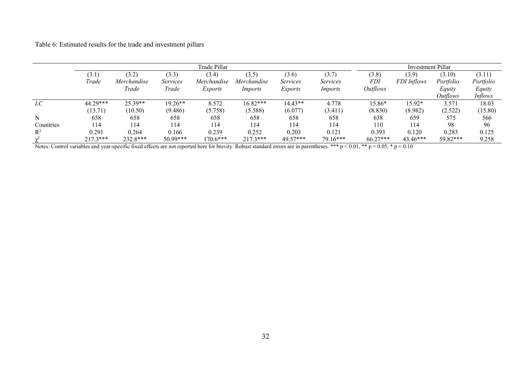Table 6: Estimated results for the trade and investment pillars

|                |            |             |                 | Investment Pillar |             |          |          |                 |             |                 |           |
|----------------|------------|-------------|-----------------|-------------------|-------------|----------|----------|-----------------|-------------|-----------------|-----------|
|                | (3.1)      | (3.2)       | (3.3)           | (3.4)             | (3.5)       | (3.6)    | (3.7)    | (3.8)           | (3.9)       | (3.10)          | (3.11)    |
|                | Trade      | Merchandise | <i>Services</i> | Merchandise       | Merchandise | Services | Services | <i>FDI</i>      | FDI Inflows | Portfolio       | Portfolio |
|                |            | Trade       | Trade           | Exports           | Imports     | Exports  | Imports  | <i>Outflows</i> |             | Equity          | Equity    |
|                |            |             |                 |                   |             |          |          |                 |             | <i>Outflows</i> | Inflows   |
| LC             | 44.29***   | $25.39**$   | $19.26**$       | 8.572             | 16.82***    | 14.43**  | 4.778    | 15.86*          | 15.92*      | 3.571           | 18.03     |
|                | (13.71)    | (10.50)     | (9.486)         | (5.758)           | (5.588)     | (6.077)  | (3.411)  | (8.830)         | (8.982)     | (2.522)         | (15.80)   |
| N              | 658        | 658         | 658             | 658               | 658         | 658      | 658      | 638             | 659         | 575             | 566       |
| Countries      | 114        | 114         | 114             | 114               | 114         | 114      | 114      | 110             | 114         | 98              | 96        |
| $\mathbb{R}^2$ | 0.291      | 0.264       | 0.166           | 0.239             | 0.252       | 0.203    | 0.121    | 0.393           | 0.120       | 0.283           | 0.125     |
| $\mathbf{v}^2$ | $217.3***$ | 232.8***    | $50.99***$      | $170.6***$        | $217.3***$  | 49.57*** | 79.16*** | $66.27***$      | $43.46***$  | 59.82***        | 9.258     |

Notes: Control variables and year-specific fixed effects are not reported here for brevity. Robust standard errors are in parentheses. \*\*\* p < 0.01, \*\* p < 0.05, \* p < 0.10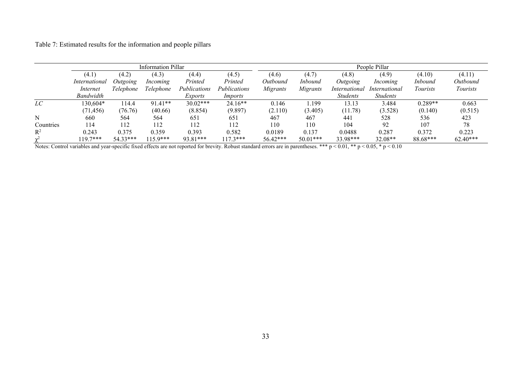Table 7: Estimated results for the information and people pillars

|                |               |           | Information Pillar |              |              | People Pillar |                |                 |                        |                |            |  |  |
|----------------|---------------|-----------|--------------------|--------------|--------------|---------------|----------------|-----------------|------------------------|----------------|------------|--|--|
|                | (4.1)         | (4.2)     | (4.3)              | (4.4)        | (4.5)        | (4.6)         | (4.7)          | (4.8)           | (4.9)                  | (4.10)         | (4.11)     |  |  |
|                | International | Outgoing  | Incoming           | Printed      | Printed      | Outbound      | <i>Inbound</i> | Outgoing        | Incoming               | <i>Inbound</i> | Outbound   |  |  |
|                | Internet      | Telephone | Telephone          | Publications | Publications | Migrants      | Migrants       | International   | International          | Tourists       | Tourists   |  |  |
|                | Bandwidth     |           |                    | Exports      | Imports      |               |                | <b>Students</b> | <i><b>Students</b></i> |                |            |  |  |
| LC             | 130,604*      | 114.4     | $91.41**$          | 30.02***     | $24.16**$    | 0.146         | l.199          | 13.13           | 3.484                  | $0.289**$      | 0.663      |  |  |
|                | (71, 456)     | (76.76)   | (40.66)            | (8.854)      | (9.897)      | (2.110)       | (3.405)        | (11.78)         | (3.528)                | (0.140)        | (0.515)    |  |  |
| N              | 660           | 564       | 564                | 651          | 651          | 467           | 467            | 441             | 528                    | 536            | 423        |  |  |
| Countries      | 114           | 112       | 112                | 112          | 112          | 110           | 110            | 104             | 92                     | 107            | 78         |  |  |
| $\mathbb{R}^2$ | 0.243         | 0.375     | 0.359              | 0.393        | 0.582        | 0.0189        | 0.137          | 0.0488          | 0.287                  | 0.372          | 0.223      |  |  |
| $\mathbf{v}$   | $19.7***$     | 54.33***  | $115.9***$         | 93.81***     | $117.3***$   | 56.42***      | 50.01***       | 33.98***        | 32.08**                | 88.68***       | $62.40***$ |  |  |

Notes: Control variables and year-specific fixed effects are not reported for brevity. Robust standard errors are in parentheses. \*\*\* p < 0.01, \*\* p < 0.05, \* p < 0.10